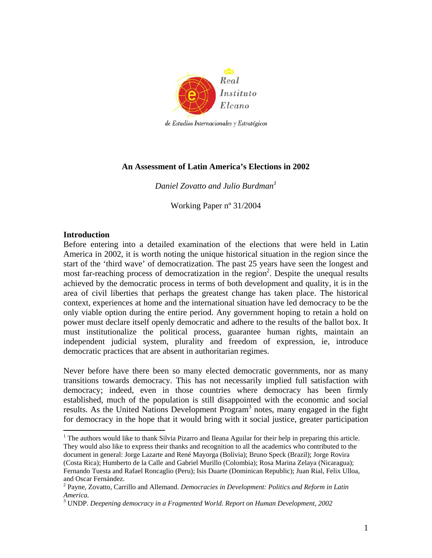

# **An Assessment of Latin America's Elections in 2002**

*Daniel Zovatto and Julio Burdman1*

Working Paper nº 31/2004

### **Introduction**

1

Before entering into a detailed examination of the elections that were held in Latin America in 2002, it is worth noting the unique historical situation in the region since the start of the 'third wave' of democratization. The past 25 years have seen the longest and most far-reaching process of democratization in the region<sup>2</sup>. Despite the unequal results achieved by the democratic process in terms of both development and quality, it is in the area of civil liberties that perhaps the greatest change has taken place. The historical context, experiences at home and the international situation have led democracy to be the only viable option during the entire period. Any government hoping to retain a hold on power must declare itself openly democratic and adhere to the results of the ballot box. It must institutionalize the political process, guarantee human rights, maintain an independent judicial system, plurality and freedom of expression, ie, introduce democratic practices that are absent in authoritarian regimes.

Never before have there been so many elected democratic governments, nor as many transitions towards democracy. This has not necessarily implied full satisfaction with democracy; indeed, even in those countries where democracy has been firmly established, much of the population is still disappointed with the economic and social results. As the United Nations Development Program<sup>3</sup> notes, many engaged in the fight for democracy in the hope that it would bring with it social justice, greater participation

<sup>1</sup> The authors would like to thank Silvia Pizarro and Ileana Aguilar for their help in preparing this article. They would also like to express their thanks and recognition to all the academics who contributed to the document in general: Jorge Lazarte and René Mayorga (Bolivia); Bruno Speck (Brazil); Jorge Rovira (Costa Rica); Humberto de la Calle and Gabriel Murillo (Colombia); Rosa Marina Zelaya (Nicaragua); Fernando Tuesta and Rafael Roncaglio (Peru); Isis Duarte (Dominican Republic); Juan Rial, Felix Ulloa, and Oscar Fernández. 2

Payne, Zovatto, Carrillo and Allemand. *Democracies in Development: Politics and Reform in Latin America.* 3

UNDP. *Deepening democracy in a Fragmented World. Report on Human Development, 2002*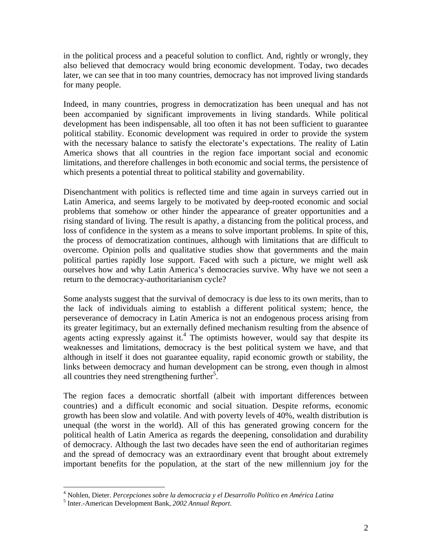in the political process and a peaceful solution to conflict. And, rightly or wrongly, they also believed that democracy would bring economic development. Today, two decades later, we can see that in too many countries, democracy has not improved living standards for many people.

Indeed, in many countries, progress in democratization has been unequal and has not been accompanied by significant improvements in living standards. While political development has been indispensable, all too often it has not been sufficient to guarantee political stability. Economic development was required in order to provide the system with the necessary balance to satisfy the electorate's expectations. The reality of Latin America shows that all countries in the region face important social and economic limitations, and therefore challenges in both economic and social terms, the persistence of which presents a potential threat to political stability and governability.

Disenchantment with politics is reflected time and time again in surveys carried out in Latin America, and seems largely to be motivated by deep-rooted economic and social problems that somehow or other hinder the appearance of greater opportunities and a rising standard of living. The result is apathy, a distancing from the political process, and loss of confidence in the system as a means to solve important problems. In spite of this, the process of democratization continues, although with limitations that are difficult to overcome. Opinion polls and qualitative studies show that governments and the main political parties rapidly lose support. Faced with such a picture, we might well ask ourselves how and why Latin America's democracies survive. Why have we not seen a return to the democracy-authoritarianism cycle?

Some analysts suggest that the survival of democracy is due less to its own merits, than to the lack of individuals aiming to establish a different political system; hence, the perseverance of democracy in Latin America is not an endogenous process arising from its greater legitimacy, but an externally defined mechanism resulting from the absence of agents acting expressly against it.<sup>4</sup> The optimists however, would say that despite its weaknesses and limitations, democracy is the best political system we have, and that although in itself it does not guarantee equality, rapid economic growth or stability, the links between democracy and human development can be strong, even though in almost all countries they need strengthening further<sup>5</sup>.

The region faces a democratic shortfall (albeit with important differences between countries) and a difficult economic and social situation. Despite reforms, economic growth has been slow and volatile. And with poverty levels of 40%, wealth distribution is unequal (the worst in the world). All of this has generated growing concern for the political health of Latin America as regards the deepening, consolidation and durability of democracy. Although the last two decades have seen the end of authoritarian regimes and the spread of democracy was an extraordinary event that brought about extremely important benefits for the population, at the start of the new millennium joy for the

 4 Nohlen, Dieter. *Percepciones sobre la democracia y el Desarrollo Político en América Latina* <sup>5</sup>

Inter.-American Development Bank, *2002 Annual Report*.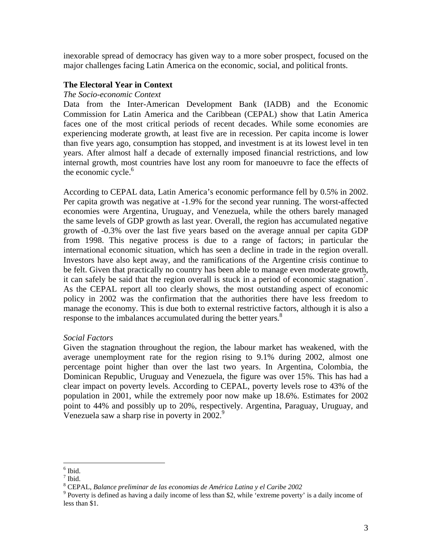inexorable spread of democracy has given way to a more sober prospect, focused on the major challenges facing Latin America on the economic, social, and political fronts.

### **The Electoral Year in Context**

### *The Socio-economic Context*

Data from the Inter-American Development Bank (IADB) and the Economic Commission for Latin America and the Caribbean (CEPAL) show that Latin America faces one of the most critical periods of recent decades. While some economies are experiencing moderate growth, at least five are in recession. Per capita income is lower than five years ago, consumption has stopped, and investment is at its lowest level in ten years. After almost half a decade of externally imposed financial restrictions, and low internal growth, most countries have lost any room for manoeuvre to face the effects of the economic cycle.<sup>6</sup>

According to CEPAL data, Latin America's economic performance fell by 0.5% in 2002. Per capita growth was negative at -1.9% for the second year running. The worst-affected economies were Argentina, Uruguay, and Venezuela, while the others barely managed the same levels of GDP growth as last year. Overall, the region has accumulated negative growth of -0.3% over the last five years based on the average annual per capita GDP from 1998. This negative process is due to a range of factors; in particular the international economic situation, which has seen a decline in trade in the region overall. Investors have also kept away, and the ramifications of the Argentine crisis continue to be felt. Given that practically no country has been able to manage even moderate growth, it can safely be said that the region overall is stuck in a period of economic stagnation<sup>7</sup>. As the CEPAL report all too clearly shows, the most outstanding aspect of economic policy in 2002 was the confirmation that the authorities there have less freedom to manage the economy. This is due both to external restrictive factors, although it is also a response to the imbalances accumulated during the better years.<sup>8</sup>

### *Social Factors*

Given the stagnation throughout the region, the labour market has weakened, with the average unemployment rate for the region rising to 9.1% during 2002, almost one percentage point higher than over the last two years. In Argentina, Colombia, the Dominican Republic, Uruguay and Venezuela, the figure was over 15%. This has had a clear impact on poverty levels. According to CEPAL, poverty levels rose to 43% of the population in 2001, while the extremely poor now make up 18.6%. Estimates for 2002 point to 44% and possibly up to 20%, respectively. Argentina, Paraguay, Uruguay, and Venezuela saw a sharp rise in poverty in  $2002$ .<sup>9</sup>

 $\frac{6}{7}$ Ibid.

 $<sup>7</sup>$  Ibid.</sup>

CEPAL, *Balance preliminar de las economias de América Latina y el Caribe <sup>2002</sup>* <sup>9</sup>

<sup>&</sup>lt;sup>9</sup> Poverty is defined as having a daily income of less than \$2, while 'extreme poverty' is a daily income of less than \$1.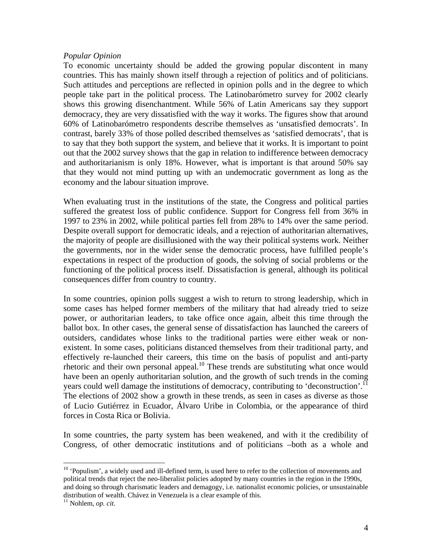### *Popular Opinion*

To economic uncertainty should be added the growing popular discontent in many countries. This has mainly shown itself through a rejection of politics and of politicians. Such attitudes and perceptions are reflected in opinion polls and in the degree to which people take part in the political process. The Latinobarómetro survey for 2002 clearly shows this growing disenchantment. While 56% of Latin Americans say they support democracy, they are very dissatisfied with the way it works. The figures show that around 60% of Latinobarómetro respondents describe themselves as 'unsatisfied democrats'. In contrast, barely 33% of those polled described themselves as 'satisfied democrats', that is to say that they both support the system, and believe that it works. It is important to point out that the 2002 survey shows that the gap in relation to indifference between democracy and authoritarianism is only 18%. However, what is important is that around 50% say that they would not mind putting up with an undemocratic government as long as the economy and the labour situation improve.

When evaluating trust in the institutions of the state, the Congress and political parties suffered the greatest loss of public confidence. Support for Congress fell from 36% in 1997 to 23% in 2002, while political parties fell from 28% to 14% over the same period. Despite overall support for democratic ideals, and a rejection of authoritarian alternatives, the majority of people are disillusioned with the way their political systems work. Neither the governments, nor in the wider sense the democratic process, have fulfilled people's expectations in respect of the production of goods, the solving of social problems or the functioning of the political process itself. Dissatisfaction is general, although its political consequences differ from country to country.

In some countries, opinion polls suggest a wish to return to strong leadership, which in some cases has helped former members of the military that had already tried to seize power, or authoritarian leaders, to take office once again, albeit this time through the ballot box. In other cases, the general sense of dissatisfaction has launched the careers of outsiders, candidates whose links to the traditional parties were either weak or nonexistent. In some cases, politicians distanced themselves from their traditional party, and effectively re-launched their careers, this time on the basis of populist and anti-party rhetoric and their own personal appeal.<sup>10</sup> These trends are substituting what once would have been an openly authoritarian solution, and the growth of such trends in the coming years could well damage the institutions of democracy, contributing to 'deconstruction'.<sup>11</sup> The elections of 2002 show a growth in these trends, as seen in cases as diverse as those of Lucio Gutiérrez in Ecuador, Álvaro Uribe in Colombia, or the appearance of third forces in Costa Rica or Bolivia.

In some countries, the party system has been weakened, and with it the credibility of Congress, of other democratic institutions and of politicians –both as a whole and

1

<sup>&</sup>lt;sup>10</sup> 'Populism', a widely used and ill-defined term, is used here to refer to the collection of movements and political trends that reject the neo-liberalist policies adopted by many countries in the region in the 1990s, and doing so through charismatic leaders and demagogy, i.e. nationalist economic policies, or unsustainable distribution of wealth. Chávez in Venezuela is a clear example of this. 11 Nohlem, *op. cit.*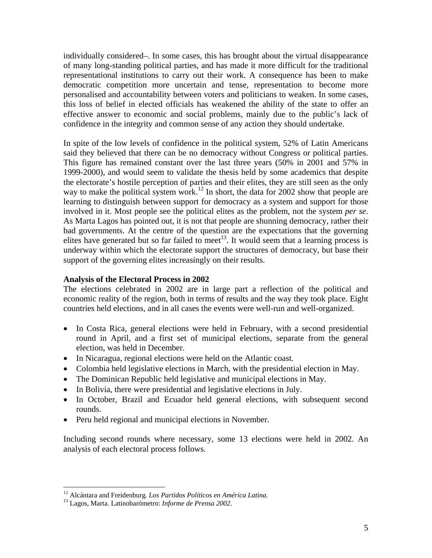individually considered–. In some cases, this has brought about the virtual disappearance of many long-standing political parties, and has made it more difficult for the traditional representational institutions to carry out their work. A consequence has been to make democratic competition more uncertain and tense, representation to become more personalised and accountability between voters and politicians to weaken. In some cases, this loss of belief in elected officials has weakened the ability of the state to offer an effective answer to economic and social problems, mainly due to the public's lack of confidence in the integrity and common sense of any action they should undertake.

In spite of the low levels of confidence in the political system, 52% of Latin Americans said they believed that there can be no democracy without Congress or political parties. This figure has remained constant over the last three years (50% in 2001 and 57% in 1999-2000), and would seem to validate the thesis held by some academics that despite the electorate's hostile perception of parties and their elites, they are still seen as the only way to make the political system work.<sup>12</sup> In short, the data for 2002 show that people are learning to distinguish between support for democracy as a system and support for those involved in it. Most people see the political elites as the problem, not the system *per se*. As Marta Lagos has pointed out, it is not that people are shunning democracy, rather their bad governments. At the centre of the question are the expectations that the governing elites have generated but so far failed to meet<sup>13</sup>. It would seem that a learning process is underway within which the electorate support the structures of democracy, but base their support of the governing elites increasingly on their results.

# **Analysis of the Electoral Process in 2002**

The elections celebrated in 2002 are in large part a reflection of the political and economic reality of the region, both in terms of results and the way they took place. Eight countries held elections, and in all cases the events were well-run and well-organized.

- In Costa Rica, general elections were held in February, with a second presidential round in April, and a first set of municipal elections, separate from the general election, was held in December.
- In Nicaragua, regional elections were held on the Atlantic coast.
- Colombia held legislative elections in March, with the presidential election in May.
- The Dominican Republic held legislative and municipal elections in May.
- In Bolivia, there were presidential and legislative elections in July.
- In October, Brazil and Ecuador held general elections, with subsequent second rounds.
- Peru held regional and municipal elections in November.

Including second rounds where necessary, some 13 elections were held in 2002. An analysis of each electoral process follows.

<sup>12</sup> Alcántara and Freidenburg*. Los Partidos Políticos en América Latina.* 13 Lagos, Marta. Latinobarómetro: *Informe de Prensa 2002*.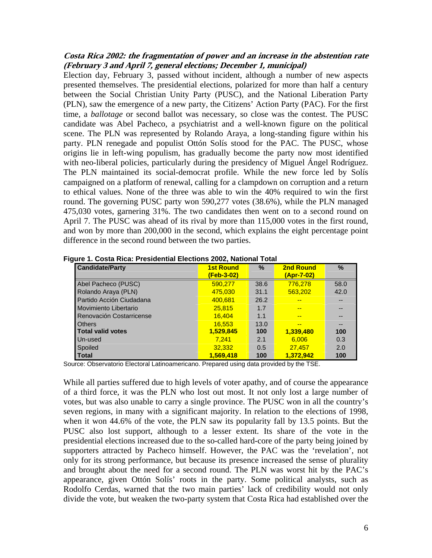### **Costa Rica 2002: the fragmentation of power and an increase in the abstention rate (February 3 and April 7, general elections; December 1, municipal)**

Election day, February 3, passed without incident, although a number of new aspects presented themselves. The presidential elections, polarized for more than half a century between the Social Christian Unity Party (PUSC), and the National Liberation Party (PLN), saw the emergence of a new party, the Citizens' Action Party (PAC). For the first time, a *ballotage* or second ballot was necessary, so close was the contest. The PUSC candidate was Abel Pacheco, a psychiatrist and a well-known figure on the political scene. The PLN was represented by Rolando Araya, a long-standing figure within his party. PLN renegade and populist Ottón Solís stood for the PAC. The PUSC, whose origins lie in left-wing populism, has gradually become the party now most identified with neo-liberal policies, particularly during the presidency of Miguel Ángel Rodríguez. The PLN maintained its social-democrat profile. While the new force led by Solís campaigned on a platform of renewal, calling for a clampdown on corruption and a return to ethical values. None of the three was able to win the 40% required to win the first round. The governing PUSC party won 590,277 votes (38.6%), while the PLN managed 475,030 votes, garnering 31%. The two candidates then went on to a second round on April 7. The PUSC was ahead of its rival by more than 115,000 votes in the first round, and won by more than 200,000 in the second, which explains the eight percentage point difference in the second round between the two parties.

| <b>Candidate/Party</b>   | <b>1st Round</b><br>(Feb-3-02) | %    | <b>2nd Round</b><br><u>(Apr-7-02)</u> | $\frac{0}{0}$ |
|--------------------------|--------------------------------|------|---------------------------------------|---------------|
| Abel Pacheco (PUSC)      | 590.277                        | 38.6 | 776.278                               | 58.0          |
| Rolando Araya (PLN)      | 475,030                        | 31.1 | 563.202                               | 42.0          |
| Partido Acción Ciudadana | 400.681                        | 26.2 | --                                    | --            |
| Movimiento Libertario    | 25,815                         | 1.7  | $- -$                                 | --            |
| Renovación Costarricense | 16.404                         | 1.1  | --                                    |               |
| <b>Others</b>            | 16.553                         | 13.0 | --                                    |               |
| <b>Total valid votes</b> | 1,529,845                      | 100  | 1,339,480                             | 100           |
| Un-used                  | 7.241                          | 2.1  | 6.006                                 | 0.3           |
| Spoiled                  | 32.332                         | 0.5  | 27.457                                | 2.0           |
| <b>Total</b>             | 1.569.418                      | 100  | 1.372.942                             | 100           |

**Figure 1. Costa Rica: Presidential Elections 2002, National Total** 

Source: Observatorio Electoral Latinoamericano. Prepared using data provided by the TSE.

While all parties suffered due to high levels of voter apathy, and of course the appearance of a third force, it was the PLN who lost out most. It not only lost a large number of votes, but was also unable to carry a single province. The PUSC won in all the country's seven regions, in many with a significant majority. In relation to the elections of 1998, when it won 44.6% of the vote, the PLN saw its popularity fall by 13.5 points. But the PUSC also lost support, although to a lesser extent. Its share of the vote in the presidential elections increased due to the so-called hard-core of the party being joined by supporters attracted by Pacheco himself. However, the PAC was the 'revelation', not only for its strong performance, but because its presence increased the sense of plurality and brought about the need for a second round. The PLN was worst hit by the PAC's appearance, given Ottón Solís' roots in the party. Some political analysts, such as Rodolfo Cerdas, warned that the two main parties' lack of credibility would not only divide the vote, but weaken the two-party system that Costa Rica had established over the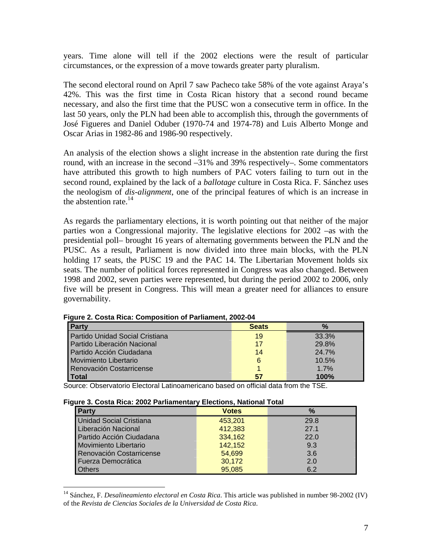years. Time alone will tell if the 2002 elections were the result of particular circumstances, or the expression of a move towards greater party pluralism.

The second electoral round on April 7 saw Pacheco take 58% of the vote against Araya's 42%. This was the first time in Costa Rican history that a second round became necessary, and also the first time that the PUSC won a consecutive term in office. In the last 50 years, only the PLN had been able to accomplish this, through the governments of José Figueres and Daniel Oduber (1970-74 and 1974-78) and Luis Alberto Monge and Oscar Arias in 1982-86 and 1986-90 respectively.

An analysis of the election shows a slight increase in the abstention rate during the first round, with an increase in the second –31% and 39% respectively–. Some commentators have attributed this growth to high numbers of PAC voters failing to turn out in the second round, explained by the lack of a *ballotage* culture in Costa Rica. F. Sánchez uses the neologism of *dis-alignment*, one of the principal features of which is an increase in the abstention rate. $^{14}$ 

As regards the parliamentary elections, it is worth pointing out that neither of the major parties won a Congressional majority. The legislative elections for 2002 –as with the presidential poll– brought 16 years of alternating governments between the PLN and the PUSC. As a result, Parliament is now divided into three main blocks, with the PLN holding 17 seats, the PUSC 19 and the PAC 14. The Libertarian Movement holds six seats. The number of political forces represented in Congress was also changed. Between 1998 and 2002, seven parties were represented, but during the period 2002 to 2006, only five will be present in Congress. This will mean a greater need for alliances to ensure governability.

| <b>Party</b>                    | <b>Seats</b> | $\frac{9}{6}$ |
|---------------------------------|--------------|---------------|
| Partido Unidad Social Cristiana | 19           | 33.3%         |
| Partido Liberación Nacional     | 17           | 29.8%         |
| Partido Acción Ciudadana        | 14           | 24.7%         |
| Movimiento Libertario           | 6            | 10.5%         |
| Renovación Costarricense        |              | 1.7%          |
| <b>Total</b>                    | 57           | 100%          |

**Figure 2. Costa Rica: Composition of Parliament, 2002-04** 

Source: Observatorio Electoral Latinoamericano based on official data from the TSE.

#### **Figure 3. Costa Rica: 2002 Parliamentary Elections, National Total**

| <b>Party</b>                   | <b>Votes</b> | $\frac{9}{6}$ |
|--------------------------------|--------------|---------------|
| <b>Unidad Social Cristiana</b> | 453,201      | 29.8          |
| Liberación Nacional            | 412,383      | 27.1          |
| Partido Acción Ciudadana       | 334,162      | 22.0          |
| Movimiento Libertario          | 142,152      | 9.3           |
| Renovación Costarricense       | 54,699       | 3.6           |
| Fuerza Democrática             | 30,172       | 2.0           |
| <b>Others</b>                  | 95,085       | 6.2           |

<sup>&</sup>lt;sup>14</sup> Sánchez, F. *Desalineamiento electoral en Costa Rica*. This article was published in number 98-2002 (IV) of the *Revista de Ciencias Sociales de la Universidad de Costa Rica*.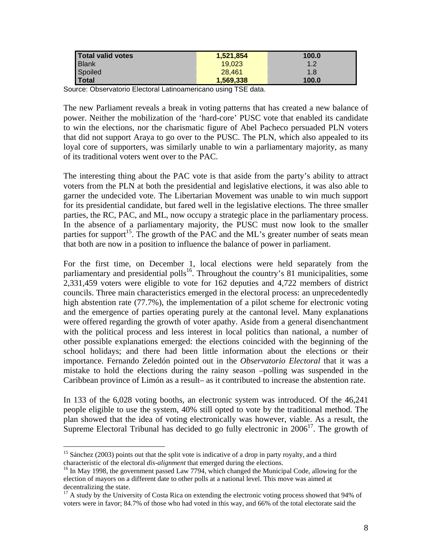| Total valid votes | 1,521,854 | 100.0 |
|-------------------|-----------|-------|
| <b>Blank</b>      | 19.023    | 1.2   |
| Spoiled           | 28.461    | 1.8   |
| Total             | 1,569,338 | 100.0 |

Source: Observatorio Electoral Latinoamericano using TSE data.

The new Parliament reveals a break in voting patterns that has created a new balance of power. Neither the mobilization of the 'hard-core' PUSC vote that enabled its candidate to win the elections, nor the charismatic figure of Abel Pacheco persuaded PLN voters that did not support Araya to go over to the PUSC. The PLN, which also appealed to its loyal core of supporters, was similarly unable to win a parliamentary majority, as many of its traditional voters went over to the PAC.

The interesting thing about the PAC vote is that aside from the party's ability to attract voters from the PLN at both the presidential and legislative elections, it was also able to garner the undecided vote. The Libertarian Movement was unable to win much support for its presidential candidate, but fared well in the legislative elections. The three smaller parties, the RC, PAC, and ML, now occupy a strategic place in the parliamentary process. In the absence of a parliamentary majority, the PUSC must now look to the smaller parties for support<sup>15</sup>. The growth of the PAC and the ML's greater number of seats mean that both are now in a position to influence the balance of power in parliament.

For the first time, on December 1, local elections were held separately from the parliamentary and presidential polls<sup>16</sup>. Throughout the country's 81 municipalities, some 2,331,459 voters were eligible to vote for 162 deputies and 4,722 members of district councils. Three main characteristics emerged in the electoral process: an unprecedentedly high abstention rate (77.7%), the implementation of a pilot scheme for electronic voting and the emergence of parties operating purely at the cantonal level. Many explanations were offered regarding the growth of voter apathy. Aside from a general disenchantment with the political process and less interest in local politics than national, a number of other possible explanations emerged: the elections coincided with the beginning of the school holidays; and there had been little information about the elections or their importance. Fernando Zeledón pointed out in the *Observatorio Electoral* that it was a mistake to hold the elections during the rainy season –polling was suspended in the Caribbean province of Limón as a result– as it contributed to increase the abstention rate.

In 133 of the 6,028 voting booths, an electronic system was introduced. Of the 46,241 people eligible to use the system, 40% still opted to vote by the traditional method. The plan showed that the idea of voting electronically was however, viable. As a result, the Supreme Electoral Tribunal has decided to go fully electronic in  $2006<sup>17</sup>$ . The growth of

<sup>&</sup>lt;sup>15</sup> Sánchez (2003) points out that the split vote is indicative of a drop in party royalty, and a third characteristic of the electoral *dis-alignment* that emerged during the elections.<br><sup>16</sup> In May 1998, the government passed Law 7794, which changed the Municipal Code, allowing for the

election of mayors on a different date to other polls at a national level. This move was aimed at

decentralizing the state.<br><sup>17</sup> A study by the University of Costa Rica on extending the electronic voting process showed that 94% of voters were in favor; 84.7% of those who had voted in this way, and 66% of the total electorate said the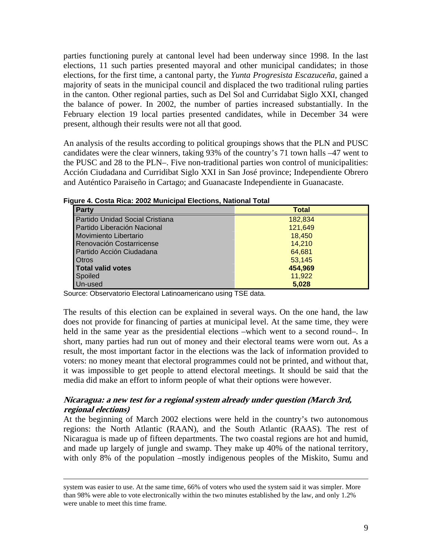parties functioning purely at cantonal level had been underway since 1998. In the last elections, 11 such parties presented mayoral and other municipal candidates; in those elections, for the first time, a cantonal party, the *Yunta Progresista Escazuceña*, gained a majority of seats in the municipal council and displaced the two traditional ruling parties in the canton. Other regional parties, such as Del Sol and Curridabat Siglo XXI, changed the balance of power. In 2002, the number of parties increased substantially. In the February election 19 local parties presented candidates, while in December 34 were present, although their results were not all that good.

An analysis of the results according to political groupings shows that the PLN and PUSC candidates were the clear winners, taking 93% of the country's 71 town halls –47 went to the PUSC and 28 to the PLN–. Five non-traditional parties won control of municipalities: Acción Ciudadana and Curridibat Siglo XXI in San José province; Independiente Obrero and Auténtico Paraiseño in Cartago; and Guanacaste Independiente in Guanacaste.

| Party                           | <b>Total</b> |
|---------------------------------|--------------|
| Partido Unidad Social Cristiana | 182,834      |
| Partido Liberación Nacional     | 121,649      |
| Movimiento Libertario           | 18,450       |
| Renovación Costarricense        | 14.210       |
| Partido Acción Ciudadana        | 64,681       |
| <b>Otros</b>                    | 53,145       |
| Total valid votes               | 454,969      |
| Spoiled                         | 11,922       |
| Un-used                         | 5.028        |

**Figure 4. Costa Rica: 2002 Municipal Elections, National Total**

Source: Observatorio Electoral Latinoamericano using TSE data.

The results of this election can be explained in several ways. On the one hand, the law does not provide for financing of parties at municipal level. At the same time, they were held in the same year as the presidential elections –which went to a second round–. In short, many parties had run out of money and their electoral teams were worn out. As a result, the most important factor in the elections was the lack of information provided to voters: no money meant that electoral programmes could not be printed, and without that, it was impossible to get people to attend electoral meetings. It should be said that the media did make an effort to inform people of what their options were however.

# **Nicaragua: a new test for a regional system already under question (March 3rd, regional elections)**

At the beginning of March 2002 elections were held in the country's two autonomous regions: the North Atlantic (RAAN), and the South Atlantic (RAAS). The rest of Nicaragua is made up of fifteen departments. The two coastal regions are hot and humid, and made up largely of jungle and swamp. They make up 40% of the national territory, with only 8% of the population –mostly indigenous peoples of the Miskito, Sumu and

system was easier to use. At the same time, 66% of voters who used the system said it was simpler. More than 98% were able to vote electronically within the two minutes established by the law, and only 1.2% were unable to meet this time frame.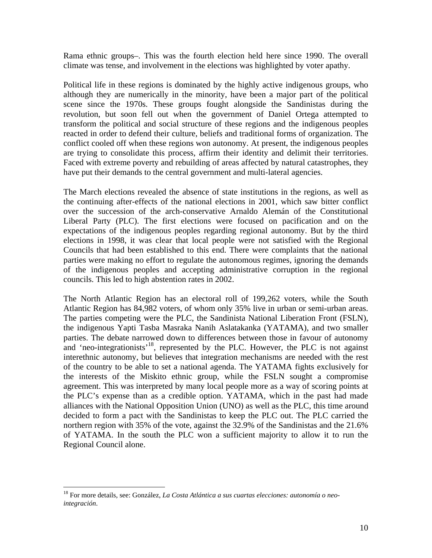Rama ethnic groups–. This was the fourth election held here since 1990. The overall climate was tense, and involvement in the elections was highlighted by voter apathy.

Political life in these regions is dominated by the highly active indigenous groups, who although they are numerically in the minority, have been a major part of the political scene since the 1970s. These groups fought alongside the Sandinistas during the revolution, but soon fell out when the government of Daniel Ortega attempted to transform the political and social structure of these regions and the indigenous peoples reacted in order to defend their culture, beliefs and traditional forms of organization. The conflict cooled off when these regions won autonomy. At present, the indigenous peoples are trying to consolidate this process, affirm their identity and delimit their territories. Faced with extreme poverty and rebuilding of areas affected by natural catastrophes, they have put their demands to the central government and multi-lateral agencies.

The March elections revealed the absence of state institutions in the regions, as well as the continuing after-effects of the national elections in 2001, which saw bitter conflict over the succession of the arch-conservative Arnaldo Alemán of the Constitutional Liberal Party (PLC). The first elections were focused on pacification and on the expectations of the indigenous peoples regarding regional autonomy. But by the third elections in 1998, it was clear that local people were not satisfied with the Regional Councils that had been established to this end. There were complaints that the national parties were making no effort to regulate the autonomous regimes, ignoring the demands of the indigenous peoples and accepting administrative corruption in the regional councils. This led to high abstention rates in 2002.

The North Atlantic Region has an electoral roll of 199,262 voters, while the South Atlantic Region has 84,982 voters, of whom only 35% live in urban or semi-urban areas. The parties competing were the PLC, the Sandinista National Liberation Front (FSLN), the indigenous Yapti Tasba Masraka Nanih Aslatakanka (YATAMA), and two smaller parties. The debate narrowed down to differences between those in favour of autonomy and 'neo-integrationists'<sup>18</sup>, represented by the PLC. However, the PLC is not against interethnic autonomy, but believes that integration mechanisms are needed with the rest of the country to be able to set a national agenda. The YATAMA fights exclusively for the interests of the Miskito ethnic group, while the FSLN sought a compromise agreement. This was interpreted by many local people more as a way of scoring points at the PLC's expense than as a credible option. YATAMA, which in the past had made alliances with the National Opposition Union (UNO) as well as the PLC, this time around decided to form a pact with the Sandinistas to keep the PLC out. The PLC carried the northern region with 35% of the vote, against the 32.9% of the Sandinistas and the 21.6% of YATAMA. In the south the PLC won a sufficient majority to allow it to run the Regional Council alone.

1

<sup>18</sup> For more details, see: González, *La Costa Atlántica a sus cuartas elecciones: autonomía o neointegración*.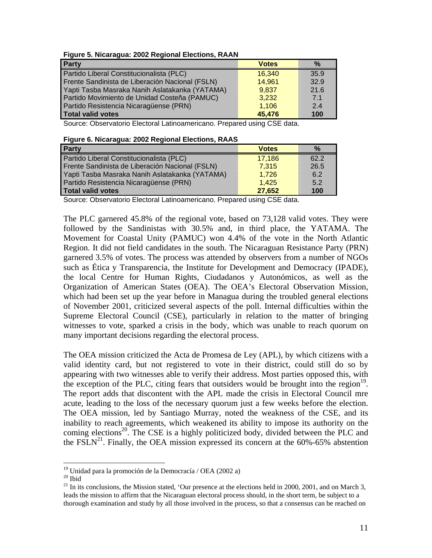| Figure 5. Nicaragua: 2002 Regional Elections, RAAN |  |  |
|----------------------------------------------------|--|--|
|                                                    |  |  |

| Party                                           | <b>Votes</b> | $\%$ |
|-------------------------------------------------|--------------|------|
| Partido Liberal Constitucionalista (PLC)        | 16,340       | 35.9 |
| Frente Sandinista de Liberación Nacional (FSLN) | 14,961       | 32.9 |
| Yapti Tasba Masraka Nanih Aslatakanka (YATAMA)  | 9,837        | 21.6 |
| Partido Movimiento de Unidad Costeña (PAMUC)    | 3,232        | 7.1  |
| Partido Resistencia Nicaragüense (PRN)          | 1,106        | 2.4  |
| <b>Total valid votes</b>                        | 45,476       | 100  |

Source: Observatorio Electoral Latinoamericano. Prepared using CSE data.

| Figure 6. Nicaragua: 2002 Regional Elections, RAAS |  |  |
|----------------------------------------------------|--|--|
|                                                    |  |  |

| <b>Party</b>                                    | <b>Votes</b> | $\%$ |
|-------------------------------------------------|--------------|------|
| Partido Liberal Constitucionalista (PLC)        | 17,186       | 62.2 |
| Frente Sandinista de Liberación Nacional (FSLN) | 7,315        | 26.5 |
| Yapti Tasba Masraka Nanih Aslatakanka (YATAMA)  | 1,726        | 6.2  |
| Partido Resistencia Nicaragüense (PRN)          | 1.425        | 5.2  |
| Total valid votes                               | 27,652       | 100  |

Source: Observatorio Electoral Latinoamericano. Prepared using CSE data.

The PLC garnered 45.8% of the regional vote, based on 73,128 valid votes. They were followed by the Sandinistas with 30.5% and, in third place, the YATAMA. The Movement for Coastal Unity (PAMUC) won 4.4% of the vote in the North Atlantic Region. It did not field candidates in the south. The Nicaraguan Resistance Party (PRN) garnered 3.5% of votes. The process was attended by observers from a number of NGOs such as Ética y Transparencia, the Institute for Development and Democracy (IPADE), the local Centre for Human Rights, Ciudadanos y Autonómicos, as well as the Organization of American States (OEA). The OEA's Electoral Observation Mission, which had been set up the year before in Managua during the troubled general elections of November 2001, criticized several aspects of the poll. Internal difficulties within the Supreme Electoral Council (CSE), particularly in relation to the matter of bringing witnesses to vote, sparked a crisis in the body, which was unable to reach quorum on many important decisions regarding the electoral process.

The OEA mission criticized the Acta de Promesa de Ley (APL), by which citizens with a valid identity card, but not registered to vote in their district, could still do so by appearing with two witnesses able to verify their address. Most parties opposed this, with the exception of the PLC, citing fears that outsiders would be brought into the region<sup>19</sup>. The report adds that discontent with the APL made the crisis in Electoral Council mre acute, leading to the loss of the necessary quorum just a few weeks before the election. The OEA mission, led by Santiago Murray, noted the weakness of the CSE, and its inability to reach agreements, which weakened its ability to impose its authority on the coming elections<sup>20</sup>. The CSE is a highly politicized body, divided between the PLC and the FSLN<sup>21</sup>. Finally, the OEA mission expressed its concern at the  $60\% - 65\%$  abstention

 $19$  Unidad para la promoción de la Democracía / OEA (2002 a)

<sup>&</sup>lt;sup>20</sup> Ibid<br><sup>21</sup> In its conclusions, the Mission stated, 'Our presence at the elections held in 2000, 2001, and on March 3, leads the mission to affirm that the Nicaraguan electoral process should, in the short term, be subject to a thorough examination and study by all those involved in the process, so that a consensus can be reached on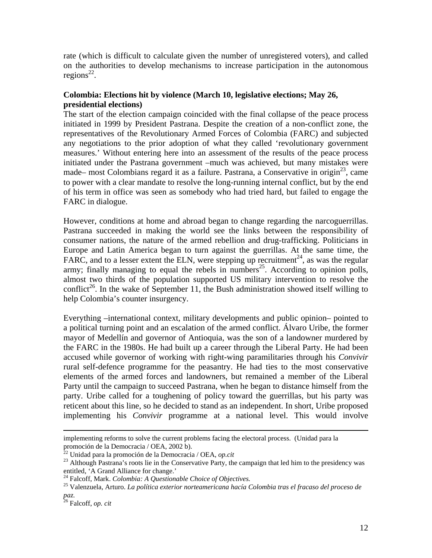rate (which is difficult to calculate given the number of unregistered voters), and called on the authorities to develop mechanisms to increase participation in the autonomous regions<sup>22</sup>.

# **Colombia: Elections hit by violence (March 10, legislative elections; May 26, presidential elections)**

The start of the election campaign coincided with the final collapse of the peace process initiated in 1999 by President Pastrana. Despite the creation of a non-conflict zone, the representatives of the Revolutionary Armed Forces of Colombia (FARC) and subjected any negotiations to the prior adoption of what they called 'revolutionary government measures.' Without entering here into an assessment of the results of the peace process initiated under the Pastrana government –much was achieved, but many mistakes were made– most Colombians regard it as a failure. Pastrana, a Conservative in origin<sup>23</sup>, came to power with a clear mandate to resolve the long-running internal conflict, but by the end of his term in office was seen as somebody who had tried hard, but failed to engage the FARC in dialogue.

However, conditions at home and abroad began to change regarding the narcoguerrillas. Pastrana succeeded in making the world see the links between the responsibility of consumer nations, the nature of the armed rebellion and drug-trafficking. Politicians in Europe and Latin America began to turn against the guerrillas. At the same time, the FARC, and to a lesser extent the ELN, were stepping up recruitment<sup>24</sup>, as was the regular army; finally managing to equal the rebels in numbers<sup>25</sup>. According to opinion polls, almost two thirds of the population supported US military intervention to resolve the conflict<sup>26</sup>. In the wake of September 11, the Bush administration showed itself willing to help Colombia's counter insurgency.

Everything –international context, military developments and public opinion– pointed to a political turning point and an escalation of the armed conflict. Álvaro Uribe, the former mayor of Medellín and governor of Antioquia, was the son of a landowner murdered by the FARC in the 1980s. He had built up a career through the Liberal Party. He had been accused while governor of working with right-wing paramilitaries through his *Convivir* rural self-defence programme for the peasantry. He had ties to the most conservative elements of the armed forces and landowners, but remained a member of the Liberal Party until the campaign to succeed Pastrana, when he began to distance himself from the party. Uribe called for a toughening of policy toward the guerrillas, but his party was reticent about this line, so he decided to stand as an independent. In short, Uribe proposed implementing his *Convivir* programme at a national level. This would involve

implementing reforms to solve the current problems facing the electoral process. (Unidad para la promoción de la Democracia / OEA, 2002 b).<br> $\frac{22 \text{ United years}}{22 \text{ United years}}$ 

<sup>&</sup>lt;sup>22</sup> Unidad para la promoción de la Democracia / OEA, *op.cit*<br><sup>23</sup> Although Pastrana's roots lie in the Conservative Party, the campaign that led him to the presidency was entitled, 'A Grand Alliance for change.'<br><sup>24</sup> Falcoff, Mark. *Colombia: A Questionable Choice of Objectives*.<br><sup>25</sup> Valenzuela, Arturo. *La política exterior norteamericana hacía Colombia tras el fracaso del proceso de* 

*paz.* 26 Falcoff, *op. cit*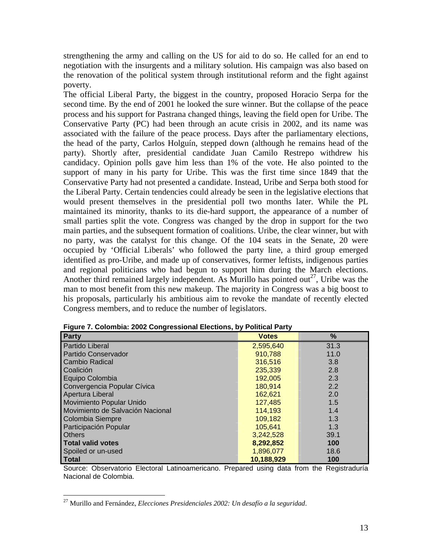strengthening the army and calling on the US for aid to do so. He called for an end to negotiation with the insurgents and a military solution. His campaign was also based on the renovation of the political system through institutional reform and the fight against poverty.

The official Liberal Party, the biggest in the country, proposed Horacio Serpa for the second time. By the end of 2001 he looked the sure winner. But the collapse of the peace process and his support for Pastrana changed things, leaving the field open for Uribe. The Conservative Party (PC) had been through an acute crisis in 2002, and its name was associated with the failure of the peace process. Days after the parliamentary elections, the head of the party, Carlos Holguín, stepped down (although he remains head of the party). Shortly after, presidential candidate Juan Camilo Restrepo withdrew his candidacy. Opinion polls gave him less than 1% of the vote. He also pointed to the support of many in his party for Uribe. This was the first time since 1849 that the Conservative Party had not presented a candidate. Instead, Uribe and Serpa both stood for the Liberal Party. Certain tendencies could already be seen in the legislative elections that would present themselves in the presidential poll two months later. While the PL maintained its minority, thanks to its die-hard support, the appearance of a number of small parties split the vote. Congress was changed by the drop in support for the two main parties, and the subsequent formation of coalitions. Uribe, the clear winner, but with no party, was the catalyst for this change. Of the 104 seats in the Senate, 20 were occupied by 'Official Liberals' who followed the party line, a third group emerged identified as pro-Uribe, and made up of conservatives, former leftists, indigenous parties and regional politicians who had begun to support him during the March elections. Another third remained largely independent. As Murillo has pointed out<sup>27</sup>, Uribe was the man to most benefit from this new makeup. The majority in Congress was a big boost to his proposals, particularly his ambitious aim to revoke the mandate of recently elected Congress members, and to reduce the number of legislators.

| Party                            | <b>Votes</b> | $\%$ |
|----------------------------------|--------------|------|
| Partido Liberal                  | 2,595,640    | 31.3 |
| Partido Conservador              | 910,788      | 11.0 |
| <b>Cambio Radical</b>            | 316,516      | 3.8  |
| Coalición                        | 235,339      | 2.8  |
| Equipo Colombia                  | 192,005      | 2.3  |
| Convergencia Popular Cívica      | 180,914      | 2.2  |
| Apertura Liberal                 | 162,621      | 2.0  |
| Movimiento Popular Unido         | 127,485      | 1.5  |
| Movimiento de Salvación Nacional | 114,193      | 1.4  |
| Colombia Siempre                 | 109,182      | 1.3  |
| Participación Popular            | 105,641      | 1.3  |
| <b>Others</b>                    | 3,242,528    | 39.1 |
| <b>Total valid votes</b>         | 8,292,852    | 100  |
| Spoiled or un-used               | 1,896,077    | 18.6 |
| Total                            | 10,188,929   | 100  |

| Figure 7. Colombia: 2002 Congressional Elections, by Political Party |  |
|----------------------------------------------------------------------|--|
|----------------------------------------------------------------------|--|

Source: Observatorio Electoral Latinoamericano. Prepared using data from the Registraduría Nacional de Colombia.

<sup>27</sup> Murillo and Fernández, *Elecciones Presidenciales 2002: Un desafío a la seguridad*.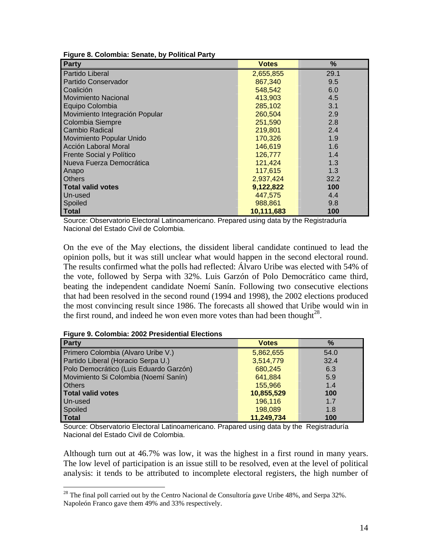| Party                          | <b>Votes</b> | %    |
|--------------------------------|--------------|------|
| Partido Liberal                | 2,655,855    | 29.1 |
| Partido Conservador            | 867,340      | 9.5  |
| Coalición                      | 548,542      | 6.0  |
| <b>Movimiento Nacional</b>     | 413,903      | 4.5  |
| Equipo Colombia                | 285,102      | 3.1  |
| Movimiento Integración Popular | 260,504      | 2.9  |
| Colombia Siempre               | 251,590      | 2.8  |
| <b>Cambio Radical</b>          | 219,801      | 2.4  |
| Movimiento Popular Unido       | 170,326      | 1.9  |
| Acción Laboral Moral           | 146,619      | 1.6  |
| Frente Social y Político       | 126,777      | 1.4  |
| Nueva Fuerza Democrática       | 121,424      | 1.3  |
| Anapo                          | 117,615      | 1.3  |
| <b>Others</b>                  | 2,937,424    | 32.2 |
| <b>Total valid votes</b>       | 9,122,822    | 100  |
| Un-used                        | 447,575      | 4.4  |
| Spoiled                        | 988,861      | 9.8  |
| <b>Total</b>                   | 10,111,683   | 100  |

**Figure 8. Colombia: Senate, by Political Party**

Source: Observatorio Electoral Latinoamericano. Prepared using data by the Registraduría Nacional del Estado Civil de Colombia.

On the eve of the May elections, the dissident liberal candidate continued to lead the opinion polls, but it was still unclear what would happen in the second electoral round. The results confirmed what the polls had reflected: Álvaro Uribe was elected with 54% of the vote, followed by Serpa with 32%. Luis Garzón of Polo Democrático came third, beating the independent candidate Noemí Sanín. Following two consecutive elections that had been resolved in the second round (1994 and 1998), the 2002 elections produced the most convincing result since 1986. The forecasts all showed that Uribe would win in the first round, and indeed he won even more votes than had been thought<sup>28</sup>.

 $\overline{a}$ 

| Party                                  | <b>Votes</b> | $\%$ |
|----------------------------------------|--------------|------|
| Primero Colombia (Alvaro Uribe V.)     | 5,862,655    | 54.0 |
| Partido Liberal (Horacio Serpa U.)     | 3,514,779    | 32.4 |
| Polo Democrático (Luis Eduardo Garzón) | 680.245      | 6.3  |
| Movimiento Si Colombia (Noemí Sanín)   | 641,884      | 5.9  |
| <b>Others</b>                          | 155,966      | 1.4  |
| <b>Total valid votes</b>               | 10,855,529   | 100  |
| Un-used                                | 196,116      | 1.7  |
| Spoiled                                | 198,089      | 1.8  |
| Total                                  | 11,249,734   | 100  |

Source: Observatorio Electoral Latinoamericano. Prapared using data by the Registraduría Nacional del Estado Civil de Colombia.

Although turn out at 46.7% was low, it was the highest in a first round in many years. The low level of participation is an issue still to be resolved, even at the level of political analysis: it tends to be attributed to incomplete electoral registers, the high number of

 $2^8$  The final poll carried out by the Centro Nacional de Consultoría gave Uribe 48%, and Serpa 32%. Napoleón Franco gave them 49% and 33% respectively.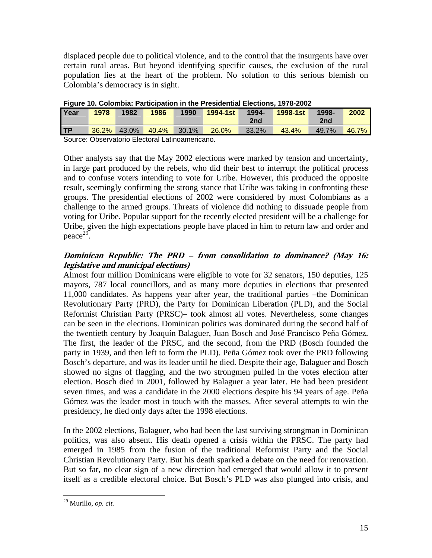displaced people due to political violence, and to the control that the insurgents have over certain rural areas. But beyond identifying specific causes, the exclusion of the rural population lies at the heart of the problem. No solution to this serious blemish on Colombia's democracy is in sight.

| Year | 1978 | 1982        | 1986                                                                 | 1990  | <b>1994-1st</b> | 1994- | 1998-1 <sub>st</sub> | $1998 -$ | 2002       |
|------|------|-------------|----------------------------------------------------------------------|-------|-----------------|-------|----------------------|----------|------------|
|      |      |             |                                                                      |       |                 | 2nd   |                      | 2nd      |            |
| TP   |      | 36.2% 43.0% | 40.4%                                                                | 30.1% | 26.0%           | 33.2% | 43.4%                | 49.7%    | $46.7\%$ . |
|      |      |             | . On the other contracts. Fix and and the contracts of the contracts |       |                 |       |                      |          |            |

**Figure 10. Colombia: Participation in the Presidential Elections, 1978-2002**

Source: Observatorio Electoral Latinoamericano.

Other analysts say that the May 2002 elections were marked by tension and uncertainty, in large part produced by the rebels, who did their best to interrupt the political process and to confuse voters intending to vote for Uribe. However, this produced the opposite result, seemingly confirming the strong stance that Uribe was taking in confronting these groups. The presidential elections of 2002 were considered by most Colombians as a challenge to the armed groups. Threats of violence did nothing to dissuade people from voting for Uribe. Popular support for the recently elected president will be a challenge for Uribe, given the high expectations people have placed in him to return law and order and peace<sup>29</sup>.

# **Dominican Republic: The PRD – from consolidation to dominance? (May 16: legislative and municipal elections)**

Almost four million Dominicans were eligible to vote for 32 senators, 150 deputies, 125 mayors, 787 local councillors, and as many more deputies in elections that presented 11,000 candidates. As happens year after year, the traditional parties –the Dominican Revolutionary Party (PRD), the Party for Dominican Liberation (PLD), and the Social Reformist Christian Party (PRSC)– took almost all votes. Nevertheless, some changes can be seen in the elections. Dominican politics was dominated during the second half of the twentieth century by Joaquín Balaguer, Juan Bosch and José Francisco Peña Gómez. The first, the leader of the PRSC, and the second, from the PRD (Bosch founded the party in 1939, and then left to form the PLD). Peña Gómez took over the PRD following Bosch's departure, and was its leader until he died. Despite their age, Balaguer and Bosch showed no signs of flagging, and the two strongmen pulled in the votes election after election. Bosch died in 2001, followed by Balaguer a year later. He had been president seven times, and was a candidate in the 2000 elections despite his 94 years of age. Peña Gómez was the leader most in touch with the masses. After several attempts to win the presidency, he died only days after the 1998 elections.

In the 2002 elections, Balaguer, who had been the last surviving strongman in Dominican politics, was also absent. His death opened a crisis within the PRSC. The party had emerged in 1985 from the fusion of the traditional Reformist Party and the Social Christian Revolutionary Party. But his death sparked a debate on the need for renovation. But so far, no clear sign of a new direction had emerged that would allow it to present itself as a credible electoral choice. But Bosch's PLD was also plunged into crisis, and

<sup>29</sup> Murillo, *op. cit.*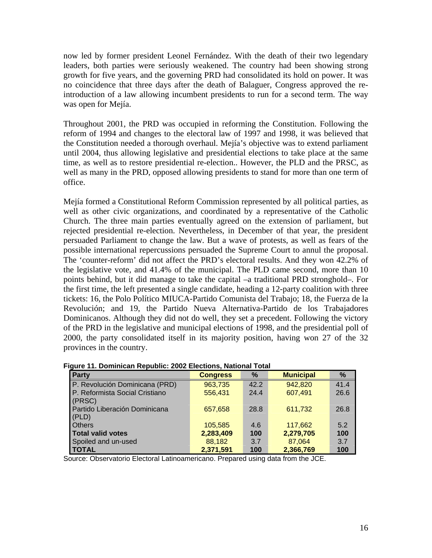now led by former president Leonel Fernández. With the death of their two legendary leaders, both parties were seriously weakened. The country had been showing strong growth for five years, and the governing PRD had consolidated its hold on power. It was no coincidence that three days after the death of Balaguer, Congress approved the reintroduction of a law allowing incumbent presidents to run for a second term. The way was open for Mejía.

Throughout 2001, the PRD was occupied in reforming the Constitution. Following the reform of 1994 and changes to the electoral law of 1997 and 1998, it was believed that the Constitution needed a thorough overhaul. Mejía's objective was to extend parliament until 2004, thus allowing legislative and presidential elections to take place at the same time, as well as to restore presidential re-election.. However, the PLD and the PRSC, as well as many in the PRD, opposed allowing presidents to stand for more than one term of office.

Mejía formed a Constitutional Reform Commission represented by all political parties, as well as other civic organizations, and coordinated by a representative of the Catholic Church. The three main parties eventually agreed on the extension of parliament, but rejected presidential re-election. Nevertheless, in December of that year, the president persuaded Parliament to change the law. But a wave of protests, as well as fears of the possible international repercussions persuaded the Supreme Court to annul the proposal. The 'counter-reform' did not affect the PRD's electoral results. And they won 42.2% of the legislative vote, and 41.4% of the municipal. The PLD came second, more than 10 points behind, but it did manage to take the capital –a traditional PRD stronghold–. For the first time, the left presented a single candidate, heading a 12-party coalition with three tickets: 16, the Polo Político MIUCA-Partido Comunista del Trabajo; 18, the Fuerza de la Revolución; and 19, the Partido Nueva Alternativa-Partido de los Trabajadores Dominicanos. Although they did not do well, they set a precedent. Following the victory of the PRD in the legislative and municipal elections of 1998, and the presidential poll of 2000, the party consolidated itself in its majority position, having won 27 of the 32 provinces in the country.

| <b>Party</b>                   | <b>Congress</b> | %    | <b>Municipal</b> | %    |
|--------------------------------|-----------------|------|------------------|------|
| P. Revolución Dominicana (PRD) | 963,735         | 42.2 | 942,820          | 41.4 |
| P. Reformista Social Cristiano | 556,431         | 24.4 | 607,491          | 26.6 |
| (PRSC)                         |                 |      |                  |      |
| Partido Liberación Dominicana  | 657,658         | 28.8 | 611,732          | 26.8 |
| (PLD)                          |                 |      |                  |      |
| <b>Others</b>                  | 105,585         | 4.6  | 117,662          | 5.2  |
| <b>Total valid votes</b>       | 2,283,409       | 100  | 2,279,705        | 100  |
| Spoiled and un-used            | 88,182          | 3.7  | 87,064           | 3.7  |
| <b>TOTAL</b>                   | 2,371,591       | 100  | 2,366,769        | 100  |

|  |  | Figure 11. Dominican Republic: 2002 Elections, National Total |
|--|--|---------------------------------------------------------------|

Source: Observatorio Electoral Latinoamericano. Prepared using data from the JCE.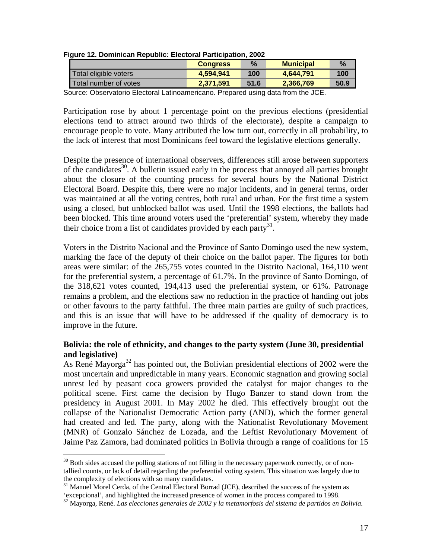|                         | <b>Congress</b> | $\%$ | <b>Municipal</b> | $\%$ |  |
|-------------------------|-----------------|------|------------------|------|--|
| Total eligible voters   | 4.594.941       | 100  | 4.644.791        | 100  |  |
| l Total number of votes | 2.371.591       | 51.6 | 2.366.769        | 50.9 |  |
|                         |                 |      |                  |      |  |

### **Figure 12. Dominican Republic: Electoral Participation, 2002**

Source: Observatorio Electoral Latinoamericano. Prepared using data from the JCE.

Participation rose by about 1 percentage point on the previous elections (presidential elections tend to attract around two thirds of the electorate), despite a campaign to encourage people to vote. Many attributed the low turn out, correctly in all probability, to the lack of interest that most Dominicans feel toward the legislative elections generally.

Despite the presence of international observers, differences still arose between supporters of the candidates<sup>30</sup>. A bulletin issued early in the process that annoyed all parties brought about the closure of the counting process for several hours by the National District Electoral Board. Despite this, there were no major incidents, and in general terms, order was maintained at all the voting centres, both rural and urban. For the first time a system using a closed, but unblocked ballot was used. Until the 1998 elections, the ballots had been blocked. This time around voters used the 'preferential' system, whereby they made their choice from a list of candidates provided by each party<sup>31</sup>.

Voters in the Distrito Nacional and the Province of Santo Domingo used the new system, marking the face of the deputy of their choice on the ballot paper. The figures for both areas were similar: of the 265,755 votes counted in the Distrito Nacional, 164,110 went for the preferential system, a percentage of 61.7%. In the province of Santo Domingo, of the 318,621 votes counted, 194,413 used the preferential system, or 61%. Patronage remains a problem, and the elections saw no reduction in the practice of handing out jobs or other favours to the party faithful. The three main parties are guilty of such practices, and this is an issue that will have to be addressed if the quality of democracy is to improve in the future.

# **Bolivia: the role of ethnicity, and changes to the party system (June 30, presidential and legislative)**

As René Mayorga<sup>32</sup> has pointed out, the Bolivian presidential elections of 2002 were the most uncertain and unpredictable in many years. Economic stagnation and growing social unrest led by peasant coca growers provided the catalyst for major changes to the political scene. First came the decision by Hugo Banzer to stand down from the presidency in August 2001. In May 2002 he died. This effectively brought out the collapse of the Nationalist Democratic Action party (AND), which the former general had created and led. The party, along with the Nationalist Revolutionary Movement (MNR) of Gonzalo Sánchez de Lozada, and the Leftist Revolutionary Movement of Jaime Paz Zamora, had dominated politics in Bolivia through a range of coalitions for 15

 $\overline{a}$ <sup>30</sup> Both sides accused the polling stations of not filling in the necessary paperwork correctly, or of nontallied counts, or lack of detail regarding the preferential voting system. This situation was largely due to

<sup>&</sup>lt;sup>31</sup> Manuel Morel Cerda, of the Central Electoral Borrad (JCE), described the success of the system as 'excepcional', and highlighted the increased presence of women in the process compared to 1998.

<sup>&</sup>lt;sup>32</sup> Mavorga, René. Las elecciones generales de 2002 y la metamorfosis del sistema de partidos en Bolivia.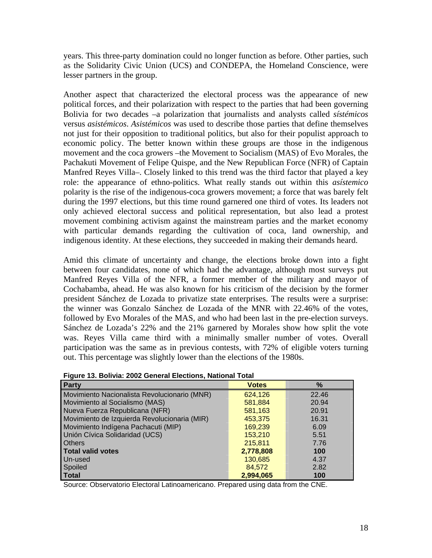years. This three-party domination could no longer function as before. Other parties, such as the Solidarity Civic Union (UCS) and CONDEPA, the Homeland Conscience, were lesser partners in the group.

Another aspect that characterized the electoral process was the appearance of new political forces, and their polarization with respect to the parties that had been governing Bolivia for two decades –a polarization that journalists and analysts called *sístémicos* versus *asistémicos*. *Asistémicos* was used to describe those parties that define themselves not just for their opposition to traditional politics, but also for their populist approach to economic policy. The better known within these groups are those in the indigenous movement and the coca growers –the Movement to Socialism (MAS) of Evo Morales, the Pachakuti Movement of Felipe Quispe, and the New Republican Force (NFR) of Captain Manfred Reyes Villa–. Closely linked to this trend was the third factor that played a key role: the appearance of ethno-politics. What really stands out within this *asístemico* polarity is the rise of the indigenous-coca growers movement; a force that was barely felt during the 1997 elections, but this time round garnered one third of votes. Its leaders not only achieved electoral success and political representation, but also lead a protest movement combining activism against the mainstream parties and the market economy with particular demands regarding the cultivation of coca, land ownership, and indigenous identity. At these elections, they succeeded in making their demands heard.

Amid this climate of uncertainty and change, the elections broke down into a fight between four candidates, none of which had the advantage, although most surveys put Manfred Reyes Villa of the NFR, a former member of the military and mayor of Cochabamba, ahead. He was also known for his criticism of the decision by the former president Sánchez de Lozada to privatize state enterprises. The results were a surprise: the winner was Gonzalo Sánchez de Lozada of the MNR with 22.46% of the votes, followed by Evo Morales of the MAS, and who had been last in the pre-election surveys. Sánchez de Lozada's 22% and the 21% garnered by Morales show how split the vote was. Reyes Villa came third with a minimally smaller number of votes. Overall participation was the same as in previous contests, with 72% of eligible voters turning out. This percentage was slightly lower than the elections of the 1980s.

| Figure 13. Bolivia: 2002 General Elections, National Total |  |
|------------------------------------------------------------|--|
|------------------------------------------------------------|--|

| Party                                        | <b>Votes</b> | $\frac{9}{6}$ |
|----------------------------------------------|--------------|---------------|
| Movimiento Nacionalista Revolucionario (MNR) | 624,126      | 22.46         |
| Movimiento al Socialismo (MAS)               | 581,884      | 20.94         |
| Nueva Fuerza Republicana (NFR)               | 581,163      | 20.91         |
| Movimiento de Izquierda Revolucionaria (MIR) | 453,375      | 16.31         |
| Movimiento Indígena Pachacuti (MIP)          | 169,239      | 6.09          |
| Unión Cívica Solidaridad (UCS)               | 153,210      | 5.51          |
| <b>Others</b>                                | 215,811      | 7.76          |
| Total valid votes                            | 2,778,808    | 100           |
| Un-used                                      | 130,685      | 4.37          |
| Spoiled                                      | 84.572       | 2.82          |
| <b>Total</b>                                 | 2,994,065    | 100           |

Source: Observatorio Electoral Latinoamericano. Prepared using data from the CNE.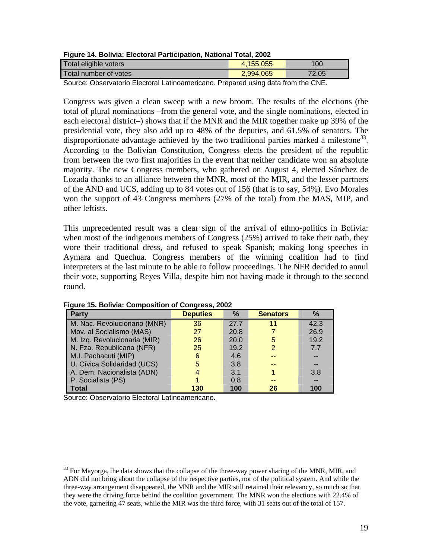|  | Figure 14. Bolivia: Electoral Participation, National Total, 2002 |  |
|--|-------------------------------------------------------------------|--|
|  |                                                                   |  |

| Total eligible voters   | 4.155.055 | 100   |
|-------------------------|-----------|-------|
| l Total number of votes | 2,994,065 | 72.05 |
|                         |           |       |

Source: Observatorio Electoral Latinoamericano. Prepared using data from the CNE.

Congress was given a clean sweep with a new broom. The results of the elections (the total of plural nominations –from the general vote, and the single nominations, elected in each electoral district–) shows that if the MNR and the MIR together make up 39% of the presidential vote, they also add up to 48% of the deputies, and 61.5% of senators. The disproportionate advantage achieved by the two traditional parties marked a milestone<sup>33</sup>. According to the Bolivian Constitution, Congress elects the president of the republic from between the two first majorities in the event that neither candidate won an absolute majority. The new Congress members, who gathered on August 4, elected Sánchez de Lozada thanks to an alliance between the MNR, most of the MIR, and the lesser partners of the AND and UCS, adding up to 84 votes out of 156 (that is to say, 54%). Evo Morales won the support of 43 Congress members (27% of the total) from the MAS, MIP, and other leftists.

This unprecedented result was a clear sign of the arrival of ethno-politics in Bolivia: when most of the indigenous members of Congress (25%) arrived to take their oath, they wore their traditional dress, and refused to speak Spanish; making long speeches in Aymara and Quechua. Congress members of the winning coalition had to find interpreters at the last minute to be able to follow proceedings. The NFR decided to annul their vote, supporting Reyes Villa, despite him not having made it through to the second round.

| <b>Party</b>                 | <b>Deputies</b> | $\frac{9}{6}$ | <b>Senators</b> | $\%$ |
|------------------------------|-----------------|---------------|-----------------|------|
| M. Nac. Revolucionario (MNR) | 36              | 27.7          | 11              | 42.3 |
| Mov. al Socialismo (MAS)     | 27              | 20.8          |                 | 26.9 |
| M. Izq. Revolucionaria (MIR) | 26              | 20.0          | 5               | 19.2 |
| N. Fza. Republicana (NFR)    | 25              | 19.2          | 2               | 7.7  |
| M.I. Pachacuti (MIP)         | 6               | 4.6           |                 |      |
| U. Cívica Solidaridad (UCS)  | 5               | 3.8           |                 |      |
| A. Dem. Nacionalista (ADN)   |                 | 3.1           |                 | 3.8  |
| P. Socialista (PS)           |                 | 0.8           |                 |      |
| <b>Total</b>                 | 130             | 100           | 26              | 100  |

**Figure 15. Bolivia: Composition of Congress, 2002**

Source: Observatorio Electoral Latinoamericano.

 $33$  For Mayorga, the data shows that the collapse of the three-way power sharing of the MNR, MIR, and ADN did not bring about the collapse of the respective parties, nor of the political system. And while the three-way arrangement disappeared, the MNR and the MIR still retained their relevancy, so much so that they were the driving force behind the coalition government. The MNR won the elections with 22.4% of the vote, garnering 47 seats, while the MIR was the third force, with 31 seats out of the total of 157.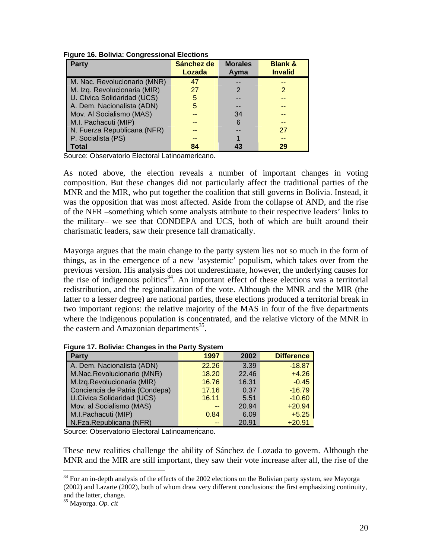| <b>Party</b>                 | Sánchez de<br>Lozada | <b>Morales</b><br>Ayma | <b>Blank &amp;</b><br><b>Invalid</b> |
|------------------------------|----------------------|------------------------|--------------------------------------|
|                              |                      |                        |                                      |
| M. Nac. Revolucionario (MNR) | 47                   |                        | --                                   |
| M. Izq. Revolucionaria (MIR) | 27                   | 2                      | 2                                    |
| U. Cívica Solidaridad (UCS)  | 5                    |                        |                                      |
| A. Dem. Nacionalista (ADN)   | 5                    |                        |                                      |
| Mov. Al Socialismo (MAS)     |                      | 34                     |                                      |
| M.I. Pachacuti (MIP)         |                      | 6                      | --                                   |
| N. Fuerza Republicana (NFR)  |                      |                        | 27                                   |
| P. Socialista (PS)           |                      |                        |                                      |
| Total                        | 84                   |                        | 29                                   |

Source: Observatorio Electoral Latinoamericano.

As noted above, the election reveals a number of important changes in voting composition. But these changes did not particularly affect the traditional parties of the MNR and the MIR, who put together the coalition that still governs in Bolivia. Instead, it was the opposition that was most affected. Aside from the collapse of AND, and the rise of the NFR –something which some analysts attribute to their respective leaders' links to the military– we see that CONDEPA and UCS, both of which are built around their charismatic leaders, saw their presence fall dramatically.

Mayorga argues that the main change to the party system lies not so much in the form of things, as in the emergence of a new 'asystemic' populism, which takes over from the previous version. His analysis does not underestimate, however, the underlying causes for the rise of indigenous politics<sup>34</sup>. An important effect of these elections was a territorial redistribution, and the regionalization of the vote. Although the MNR and the MIR (the latter to a lesser degree) are national parties, these elections produced a territorial break in two important regions: the relative majority of the MAS in four of the five departments where the indigenous population is concentrated, and the relative victory of the MNR in the eastern and Amazonian departments<sup>35</sup>.

| <b>Party</b>                   | 1997  | 2002  | <b>Difference</b> |
|--------------------------------|-------|-------|-------------------|
| A. Dem. Nacionalista (ADN)     | 22.26 | 3.39  | $-18.87$          |
| M.Nac.Revolucionario (MNR)     | 18.20 | 22.46 | $+4.26$           |
| M.Izq.Revolucionaria (MIR)     | 16.76 | 16.31 | $-0.45$           |
| Conciencia de Patria (Condepa) | 17.16 | 0.37  | $-16.79$          |
| U.Cívica Solidaridad (UCS)     | 16.11 | 5.51  | $-10.60$          |
| Mov. al Socialismo (MAS)       | --    | 20.94 | $+20.94$          |
| M.I.Pachacuti (MIP)            | 0.84  | 6.09  | $+5.25$           |
| N.Fza.Republicana (NFR)        | $-$   | 20.91 | $+20.91$          |

Source: Observatorio Electoral Latinoamericano.

These new realities challenge the ability of Sánchez de Lozada to govern. Although the MNR and the MIR are still important, they saw their vote increase after all, the rise of the

 $34$  For an in-depth analysis of the effects of the 2002 elections on the Bolivian party system, see Mayorga (2002) and Lazarte (2002), both of whom draw very different conclusions: the first emphasizing continuity, and the latter, change. 35 Mayorga. *Op. cit*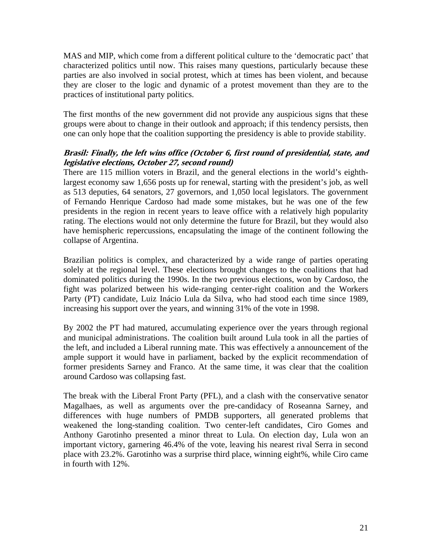MAS and MIP, which come from a different political culture to the 'democratic pact' that characterized politics until now. This raises many questions, particularly because these parties are also involved in social protest, which at times has been violent, and because they are closer to the logic and dynamic of a protest movement than they are to the practices of institutional party politics.

The first months of the new government did not provide any auspicious signs that these groups were about to change in their outlook and approach; if this tendency persists, then one can only hope that the coalition supporting the presidency is able to provide stability.

# **Brasil: Finally, the left wins office (October 6, first round of presidential, state, and legislative elections, October 27, second round)**

There are 115 million voters in Brazil, and the general elections in the world's eighthlargest economy saw 1,656 posts up for renewal, starting with the president's job, as well as 513 deputies, 64 senators, 27 governors, and 1,050 local legislators. The government of Fernando Henrique Cardoso had made some mistakes, but he was one of the few presidents in the region in recent years to leave office with a relatively high popularity rating. The elections would not only determine the future for Brazil, but they would also have hemispheric repercussions, encapsulating the image of the continent following the collapse of Argentina.

Brazilian politics is complex, and characterized by a wide range of parties operating solely at the regional level. These elections brought changes to the coalitions that had dominated politics during the 1990s. In the two previous elections, won by Cardoso, the fight was polarized between his wide-ranging center-right coalition and the Workers Party (PT) candidate, Luiz Inácio Lula da Silva, who had stood each time since 1989, increasing his support over the years, and winning 31% of the vote in 1998.

By 2002 the PT had matured, accumulating experience over the years through regional and municipal administrations. The coalition built around Lula took in all the parties of the left, and included a Liberal running mate. This was effectively a announcement of the ample support it would have in parliament, backed by the explicit recommendation of former presidents Sarney and Franco. At the same time, it was clear that the coalition around Cardoso was collapsing fast.

The break with the Liberal Front Party (PFL), and a clash with the conservative senator Magalhaes, as well as arguments over the pre-candidacy of Roseanna Sarney, and differences with huge numbers of PMDB supporters, all generated problems that weakened the long-standing coalition. Two center-left candidates, Ciro Gomes and Anthony Garotinho presented a minor threat to Lula. On election day, Lula won an important victory, garnering 46.4% of the vote, leaving his nearest rival Serra in second place with 23.2%. Garotinho was a surprise third place, winning eight%, while Ciro came in fourth with 12%.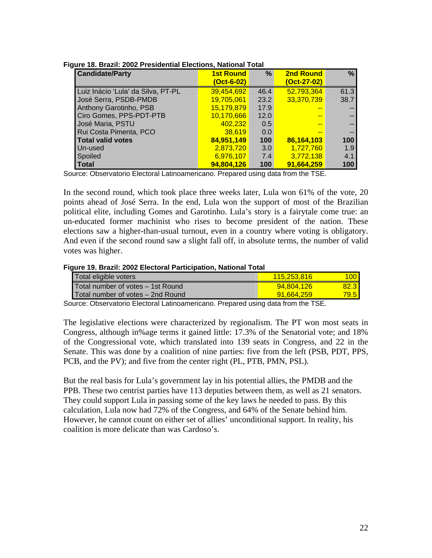| <b>Candidate/Party</b>             | <b>1st Round</b> | %    | <b>2nd Round</b> | %    |
|------------------------------------|------------------|------|------------------|------|
|                                    | (Oct-6-02)       |      | (Oct-27-02)      |      |
| Luiz Inácio 'Lula' da Silva, PT-PL | 39,454,692       | 46.4 | 52,793,364       | 61.3 |
| José Serra, PSDB-PMDB              | 19,705,061       | 23.2 | 33,370,739       | 38.7 |
| Anthony Garotinho, PSB             | 15,179,879       | 17.9 |                  |      |
| Ciro Gomes, PPS-PDT-PTB            | 10,170,666       | 12.0 |                  |      |
| José Maria, PSTU                   | 402,232          | 0.5  |                  |      |
| Rui Costa Pimenta, PCO             | 38,619           | 0.0  |                  |      |
| <b>Total valid votes</b>           | 84,951,149       | 100  | 86,164,103       | 100  |
| Un-used                            | 2,873,720        | 3.0  | 1,727,760        | 1.9  |
| Spoiled                            | 6,976,107        | 7.4  | 3,772,138        | 4.1  |
| <b>Total</b>                       | 94,804,126       | 100  | 91,664,259       | 100  |

|  |  | Figure 18. Brazil: 2002 Presidential Elections, National Total |  |
|--|--|----------------------------------------------------------------|--|
|  |  |                                                                |  |

Source: Observatorio Electoral Latinoamericano. Prepared using data from the TSE.

In the second round, which took place three weeks later, Lula won 61% of the vote, 20 points ahead of José Serra. In the end, Lula won the support of most of the Brazilian political elite, including Gomes and Garotinho. Lula's story is a fairytale come true: an un-educated former machinist who rises to become president of the nation. These elections saw a higher-than-usual turnout, even in a country where voting is obligatory. And even if the second round saw a slight fall off, in absolute terms, the number of valid votes was higher.

#### **Figure 19. Brazil: 2002 Electoral Participation, National Total**

| Total eligible voters             | 115.253.816 | 1001  |
|-----------------------------------|-------------|-------|
| Total number of votes - 1st Round | 94.804.126  | 82.31 |
| Total number of votes – 2nd Round | 91.664.259  | 79.5  |

Source: Observatorio Electoral Latinoamericano. Prepared using data from the TSE.

The legislative elections were characterized by regionalism. The PT won most seats in Congress, although in%age terms it gained little: 17.3% of the Senatorial vote; and 18% of the Congressional vote, which translated into 139 seats in Congress, and 22 in the Senate. This was done by a coalition of nine parties: five from the left (PSB, PDT, PPS, PCB, and the PV); and five from the center right (PL, PTB, PMN, PSL).

But the real basis for Lula's government lay in his potential allies, the PMDB and the PPB. These two centrist parties have 113 deputies between them, as well as 21 senators. They could support Lula in passing some of the key laws he needed to pass. By this calculation, Lula now had 72% of the Congress, and 64% of the Senate behind him. However, he cannot count on either set of allies' unconditional support. In reality, his coalition is more delicate than was Cardoso's.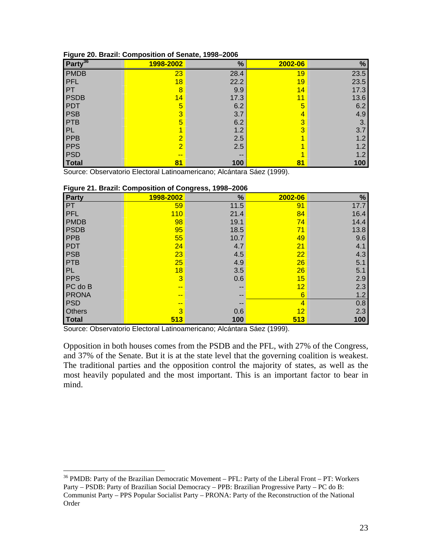| Party <sup>36</sup> | 1998-2002      | %    | 2002-06 | %    |
|---------------------|----------------|------|---------|------|
| <b>PMDB</b>         | 23             | 28.4 | 19      | 23.5 |
| <b>PFL</b>          | 18             | 22.2 | 19      | 23.5 |
| PT                  | $\overline{8}$ | 9.9  | 14      | 17.3 |
| <b>PSDB</b>         | 14             | 17.3 | 11      | 13.6 |
| <b>PDT</b>          | 5              | 6.2  | 5       | 6.2  |
| <b>PSB</b>          | 3              | 3.7  | 4       | 4.9  |
| PTB                 | 5              | 6.2  | 3       | 3.   |
| PL                  |                | 1.2  | 3       | 3.7  |
| PPB                 | $\overline{2}$ | 2.5  |         | 1.2  |
| <b>PPS</b>          | $\overline{2}$ | 2.5  |         | 1.2  |
| <b>PSD</b>          | $- -$          | --   |         | 1.2  |
| <b>Total</b>        | 81             | 100  | 81      | 100  |

### **Figure 20. Brazil: Composition of Senate, 1998–2006**

Source: Observatorio Electoral Latinoamericano; Alcántara Sáez (1999).

| <u>rigure 21. Diazil. Composition or Congress, 1990–2000</u> |                |      |                   |      |  |  |  |  |  |
|--------------------------------------------------------------|----------------|------|-------------------|------|--|--|--|--|--|
| Party                                                        | 1998-2002      | %    | 2002-06           | $\%$ |  |  |  |  |  |
| <b>PT</b>                                                    | 59             | 11.5 | 91                | 17.7 |  |  |  |  |  |
| PFL                                                          | 110            | 21.4 | 84                | 16.4 |  |  |  |  |  |
| <b>PMDB</b>                                                  | 98             | 19.1 | 74                | 14.4 |  |  |  |  |  |
| <b>PSDB</b>                                                  | 95             | 18.5 | 71                | 13.8 |  |  |  |  |  |
| <b>PPB</b>                                                   | 55             | 10.7 | 49                | 9.6  |  |  |  |  |  |
| <b>PDT</b>                                                   | 24             | 4.7  | 21                | 4.1  |  |  |  |  |  |
| <b>PSB</b>                                                   | 23             | 4.5  | 22                | 4.3  |  |  |  |  |  |
| <b>PTB</b>                                                   | 25             | 4.9  | 26                | 5.1  |  |  |  |  |  |
| PL                                                           | 18             | 3.5  | 26                | 5.1  |  |  |  |  |  |
| <b>PPS</b>                                                   | $\overline{3}$ | 0.6  | 15                | 2.9  |  |  |  |  |  |
| $PC$ do $B$                                                  | $- -$          |      | 12                | 2.3  |  |  |  |  |  |
| <b>PRONA</b>                                                 | --             |      | 6                 | 1.2  |  |  |  |  |  |
| PSD                                                          | --             |      | $\overline{4}$    | 0.8  |  |  |  |  |  |
| <b>Others</b>                                                | 3              | 0.6  | $12 \overline{ }$ | 2.3  |  |  |  |  |  |
| Total                                                        | 513            | 100  | 513               | 100  |  |  |  |  |  |

# **Figure 21. Brazil: Composition of Congress, 1998–2006**

Source: Observatorio Electoral Latinoamericano; Alcántara Sáez (1999).

 $\overline{a}$ 

Opposition in both houses comes from the PSDB and the PFL, with 27% of the Congress, and 37% of the Senate. But it is at the state level that the governing coalition is weakest. The traditional parties and the opposition control the majority of states, as well as the most heavily populated and the most important. This is an important factor to bear in mind.

 $36$  PMDB: Party of the Brazilian Democratic Movement – PFL: Party of the Liberal Front – PT: Workers Party – PSDB: Party of Brazilian Social Democracy – PPB: Brazilian Progressive Party – PC do B: Communist Party – PPS Popular Socialist Party – PRONA: Party of the Reconstruction of the National Order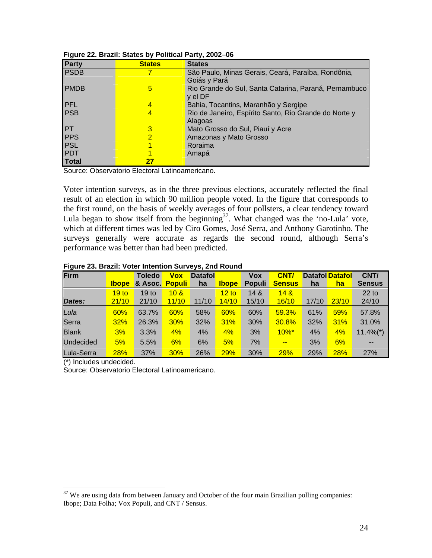| Party       | <b>States</b>  | <b>States</b>                                         |
|-------------|----------------|-------------------------------------------------------|
| <b>PSDB</b> |                | São Paulo, Minas Gerais, Ceará, Paraíba, Rondônia,    |
|             |                | Goiás y Pará                                          |
| <b>PMDB</b> | 5              | Rio Grande do Sul, Santa Catarina, Paraná, Pernambuco |
|             |                | y el DF                                               |
| <b>PFL</b>  | 4              | Bahia, Tocantins, Maranhão y Sergipe                  |
| <b>PSB</b>  | 4              | Rio de Janeiro, Espírito Santo, Rio Grande do Norte y |
|             |                | Alagoas                                               |
| PT          | 3              | Mato Grosso do Sul, Piauí y Acre                      |
| PPS         | $\overline{2}$ | Amazonas y Mato Grosso                                |
| <b>PSL</b>  |                | Roraima                                               |
| PDT         |                | Amapá                                                 |
| Total       | 27             |                                                       |

### **Figure 22. Brazil: States by Political Party, 2002–06**

Source: Observatorio Electoral Latinoamericano.

Voter intention surveys, as in the three previous elections, accurately reflected the final result of an election in which 90 million people voted. In the figure that corresponds to the first round, on the basis of weekly averages of four pollsters, a clear tendency toward Lula began to show itself from the beginning<sup>37</sup>. What changed was the 'no-Lula' vote, which at different times was led by Ciro Gomes, José Serra, and Anthony Garotinho. The surveys generally were accurate as regards the second round, although Serra's performance was better than had been predicted.

| Firm             |                  | <b>Toledo</b>    | <b>Vox</b>      | <b>Datafol</b> |              | <b>Vox</b>    | CNT/            |       | <b>Datafol Datafol</b> | CNT/                    |
|------------------|------------------|------------------|-----------------|----------------|--------------|---------------|-----------------|-------|------------------------|-------------------------|
|                  | <b>Ibope</b>     | & Asoc.          | <b>Populi</b>   | ha             | <b>Ibope</b> | <b>Populi</b> | <b>Sensus</b>   | ha    | <u>ha</u>              | <b>Sensus</b>           |
|                  | 19 <sub>to</sub> | 19 <sub>to</sub> | 10 <sub>8</sub> |                | 12 to        | 148           | 14 <sub>8</sub> |       |                        | $22$ to                 |
| Dates:           | 21/10            | 21/10            | 11/10           | 11/10          | 14/10        | 15/10         | 16/10           | 17/10 | 23/10                  | 24/10                   |
| Lula             | 60%              | 63.7%            | 60%             | 58%            | 60%          | 60%           | 59.3%           | 61%   | 59%                    | 57.8%                   |
| Serra            | 32%              | 26.3%            | 30%             | 32%            | 31%          | 30%           | 30.8%           | 32%   | 31%                    | 31.0%                   |
| <b>Blank</b>     | 3%               | 3.3%             | 4%              | 4%             | 4%           | 3%            | $10\%$ *        | 4%    | 4%                     | $11.4\%$ <sup>*</sup> ) |
| <b>Undecided</b> | 5%               | 5.5%             | 6%              | 6%             | 5%           | 7%            | $-1$            | 3%    | 6%                     | --                      |
| Lula-Serra       | <b>28%</b>       | 37%              | 30%             | 26%            | 29%          | 30%           | <b>29%</b>      | 29%   | 28%                    | <b>27%</b>              |

#### **Figure 23. Brazil: Voter Intention Surveys, 2nd Round**

(\*) Includes undecided.

 $\overline{a}$ 

Source: Observatorio Electoral Latinoamericano.

 $37$  We are using data from between January and October of the four main Brazilian polling companies: Ibope; Data Folha; Vox Populi, and CNT / Sensus.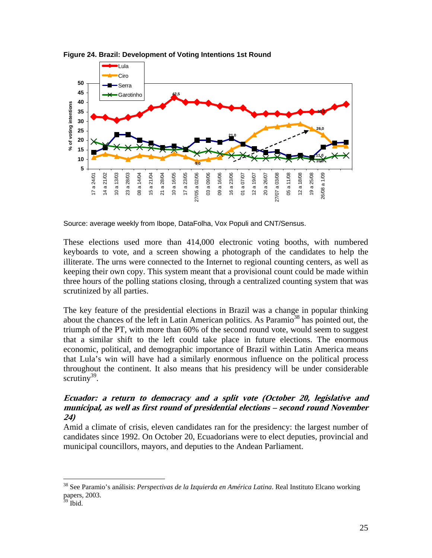



Source: average weekly from Ibope, DataFolha, Vox Populi and CNT/Sensus.

These elections used more than 414,000 electronic voting booths, with numbered keyboards to vote, and a screen showing a photograph of the candidates to help the illiterate. The urns were connected to the Internet to regional counting centers, as well as keeping their own copy. This system meant that a provisional count could be made within three hours of the polling stations closing, through a centralized counting system that was scrutinized by all parties.

The key feature of the presidential elections in Brazil was a change in popular thinking about the chances of the left in Latin American politics. As Paramio<sup>38</sup> has pointed out, the triumph of the PT, with more than 60% of the second round vote, would seem to suggest that a similar shift to the left could take place in future elections. The enormous economic, political, and demographic importance of Brazil within Latin America means that Lula's win will have had a similarly enormous influence on the political process throughout the continent. It also means that his presidency will be under considerable scrutiny<sup>39</sup>.

# **Ecuador: a return to democracy and a split vote (October 20, legislative and municipal, as well as first round of presidential elections – second round November 24)**

Amid a climate of crisis, eleven candidates ran for the presidency: the largest number of candidates since 1992. On October 20, Ecuadorians were to elect deputies, provincial and municipal councillors, mayors, and deputies to the Andean Parliament.

<sup>38</sup> See Paramio's análisis: *Perspectivas de la Izquierda en América Latina*. Real Instituto Elcano working papers, 2003.

 $39$  Ibid.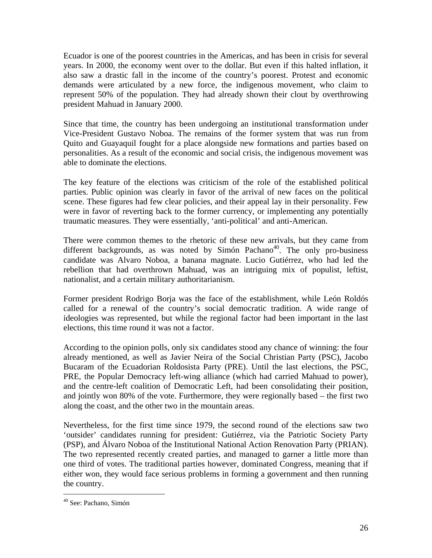Ecuador is one of the poorest countries in the Americas, and has been in crisis for several years. In 2000, the economy went over to the dollar. But even if this halted inflation, it also saw a drastic fall in the income of the country's poorest. Protest and economic demands were articulated by a new force, the indigenous movement, who claim to represent 50% of the population. They had already shown their clout by overthrowing president Mahuad in January 2000.

Since that time, the country has been undergoing an institutional transformation under Vice-President Gustavo Noboa. The remains of the former system that was run from Quito and Guayaquil fought for a place alongside new formations and parties based on personalities. As a result of the economic and social crisis, the indigenous movement was able to dominate the elections.

The key feature of the elections was criticism of the role of the established political parties. Public opinion was clearly in favor of the arrival of new faces on the political scene. These figures had few clear policies, and their appeal lay in their personality. Few were in favor of reverting back to the former currency, or implementing any potentially traumatic measures. They were essentially, 'anti-political' and anti-American.

There were common themes to the rhetoric of these new arrivals, but they came from different backgrounds, as was noted by Simón Pachano<sup>40</sup>. The only pro-business candidate was Alvaro Noboa, a banana magnate. Lucio Gutiérrez, who had led the rebellion that had overthrown Mahuad, was an intriguing mix of populist, leftist, nationalist, and a certain military authoritarianism.

Former president Rodrigo Borja was the face of the establishment, while León Roldós called for a renewal of the country's social democratic tradition. A wide range of ideologies was represented, but while the regional factor had been important in the last elections, this time round it was not a factor.

According to the opinion polls, only six candidates stood any chance of winning: the four already mentioned, as well as Javier Neira of the Social Christian Party (PSC), Jacobo Bucaram of the Ecuadorian Roldosista Party (PRE). Until the last elections, the PSC, PRE, the Popular Democracy left-wing alliance (which had carried Mahuad to power), and the centre-left coalition of Democratic Left, had been consolidating their position, and jointly won 80% of the vote. Furthermore, they were regionally based – the first two along the coast, and the other two in the mountain areas.

Nevertheless, for the first time since 1979, the second round of the elections saw two 'outsider' candidates running for president: Gutiérrez, via the Patriotic Society Party (PSP), and Álvaro Noboa of the Institutional National Action Renovation Party (PRIAN). The two represented recently created parties, and managed to garner a little more than one third of votes. The traditional parties however, dominated Congress, meaning that if either won, they would face serious problems in forming a government and then running the country.

<sup>40</sup> See: Pachano, Simón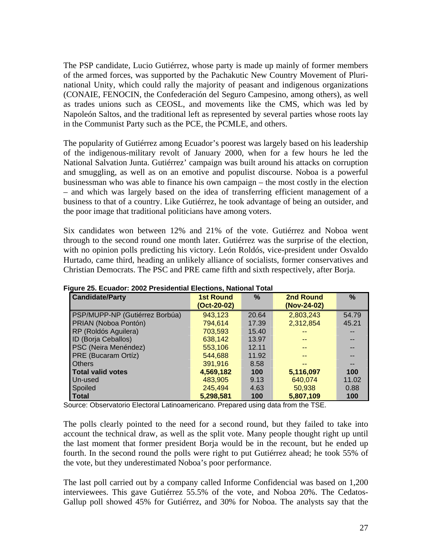The PSP candidate, Lucio Gutiérrez, whose party is made up mainly of former members of the armed forces, was supported by the Pachakutic New Country Movement of Plurinational Unity, which could rally the majority of peasant and indigenous organizations (CONAIE, FENOCIN, the Confederación del Seguro Campesino, among others), as well as trades unions such as CEOSL, and movements like the CMS, which was led by Napoleón Saltos, and the traditional left as represented by several parties whose roots lay in the Communist Party such as the PCE, the PCMLE, and others.

The popularity of Gutiérrez among Ecuador's poorest was largely based on his leadership of the indigenous-military revolt of January 2000, when for a few hours he led the National Salvation Junta. Gutiérrez' campaign was built around his attacks on corruption and smuggling, as well as on an emotive and populist discourse. Noboa is a powerful businessman who was able to finance his own campaign – the most costly in the election – and which was largely based on the idea of transferring efficient management of a business to that of a country. Like Gutiérrez, he took advantage of being an outsider, and the poor image that traditional politicians have among voters.

Six candidates won between 12% and 21% of the vote. Gutiérrez and Noboa went through to the second round one month later. Gutiérrez was the surprise of the election, with no opinion polls predicting his victory. León Roldós, vice-president under Osvaldo Hurtado, came third, heading an unlikely alliance of socialists, former conservatives and Christian Democrats. The PSC and PRE came fifth and sixth respectively, after Borja.

| <b>Candidate/Party</b>         | <b>1st Round</b><br>(Oct-20-02) | $\%$  | <b>2nd Round</b><br>(Nov-24-02) | $\%$  |
|--------------------------------|---------------------------------|-------|---------------------------------|-------|
| PSP/MUPP-NP (Gutiérrez Borbúa) | 943,123                         | 20.64 | 2,803,243                       | 54.79 |
| PRIAN (Noboa Pontón)           | 794,614                         | 17.39 | 2,312,854                       | 45.21 |
| RP (Roldós Aguilera)           | 703,593                         | 15.40 | --                              |       |
| ID (Borja Ceballos)            | 638,142                         | 13.97 | --                              |       |
| PSC (Neira Menéndez)           | 553,106                         | 12.11 | --                              |       |
| PRE (Bucaram Ortíz)            | 544.688                         | 11.92 | --                              |       |
| <b>Others</b>                  | 391.916                         | 8.58  | --                              | --    |
| <b>Total valid votes</b>       | 4,569,182                       | 100   | 5,116,097                       | 100   |
| Un-used                        | 483,905                         | 9.13  | 640,074                         | 11.02 |
| Spoiled                        | 245,494                         | 4.63  | 50.938                          | 0.88  |
| <b>Total</b>                   | 5,298,581                       | 100   | 5,807,109                       | 100   |

**Figure 25. Ecuador: 2002 Presidential Elections, National Total** 

Source: Observatorio Electoral Latinoamericano. Prepared using data from the TSE.

The polls clearly pointed to the need for a second round, but they failed to take into account the technical draw, as well as the split vote. Many people thought right up until the last moment that former president Borja would be in the recount, but he ended up fourth. In the second round the polls were right to put Gutiérrez ahead; he took 55% of the vote, but they underestimated Noboa's poor performance.

The last poll carried out by a company called Informe Confidencial was based on 1,200 interviewees. This gave Gutiérrez 55.5% of the vote, and Noboa 20%. The Cedatos-Gallup poll showed 45% for Gutiérrez, and 30% for Noboa. The analysts say that the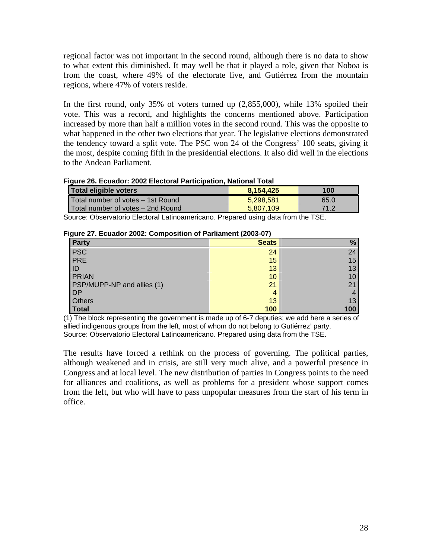regional factor was not important in the second round, although there is no data to show to what extent this diminished. It may well be that it played a role, given that Noboa is from the coast, where 49% of the electorate live, and Gutiérrez from the mountain regions, where 47% of voters reside.

In the first round, only 35% of voters turned up (2,855,000), while 13% spoiled their vote. This was a record, and highlights the concerns mentioned above. Participation increased by more than half a million votes in the second round. This was the opposite to what happened in the other two elections that year. The legislative elections demonstrated the tendency toward a split vote. The PSC won 24 of the Congress' 100 seats, giving it the most, despite coming fifth in the presidential elections. It also did well in the elections to the Andean Parliament.

### **Figure 26. Ecuador: 2002 Electoral Participation, National Total**

| Total eligible voters             | 8.154.425 | 100  |
|-----------------------------------|-----------|------|
| Total number of votes – 1st Round | 5.298.581 | 65.0 |
| Total number of votes – 2nd Round | 5.807.109 | 71.2 |

Source: Observatorio Electoral Latinoamericano. Prepared using data from the TSE.

# **Figure 27. Ecuador 2002: Composition of Parliament (2003-07)**

| . ت<br>Party               | <b>Seats</b> | $\%$ |
|----------------------------|--------------|------|
| PSC<br>PRE                 | 24           | 24   |
|                            | 15           | 15   |
| ID                         | 13           | 13   |
| <b>PRIAN</b>               | 10           | 10   |
| PSP/MUPP-NP and allies (1) | 21           | 21   |
| <b>DP</b>                  | 4            |      |
| Others                     | 13           | 13   |
| <b>Total</b>               | 100          | 100  |

(1) The block representing the government is made up of 6-7 deputies; we add here a series of allied indigenous groups from the left, most of whom do not belong to Gutiérrez' party. Source: Observatorio Electoral Latinoamericano. Prepared using data from the TSE.

The results have forced a rethink on the process of governing. The political parties, although weakened and in crisis, are still very much alive, and a powerful presence in Congress and at local level. The new distribution of parties in Congress points to the need for alliances and coalitions, as well as problems for a president whose support comes from the left, but who will have to pass unpopular measures from the start of his term in office.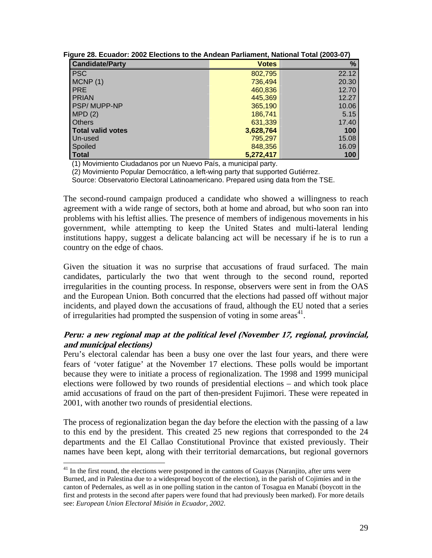| <b>Candidate/Party</b>   | <b>Votes</b> | %     |
|--------------------------|--------------|-------|
| <b>PSC</b>               | 802,795      | 22.12 |
| MCNP(1)                  | 736,494      | 20.30 |
| <b>PRE</b>               | 460,836      | 12.70 |
| <b>PRIAN</b>             | 445,369      | 12.27 |
| <b>PSP/MUPP-NP</b>       | 365,190      | 10.06 |
| MPD(2)                   | 186,741      | 5.15  |
| <b>Others</b>            | 631,339      | 17.40 |
| <b>Total valid votes</b> | 3,628,764    | 100   |
| Un-used                  | 795,297      | 15.08 |
| Spoiled                  | 848,356      | 16.09 |
| <b>Total</b>             | 5,272,417    | 100   |

**Figure 28. Ecuador: 2002 Elections to the Andean Parliament, National Total (2003-07)** 

(1) Movimiento Ciudadanos por un Nuevo País, a municipal party.

(2) Movimiento Popular Democrático, a left-wing party that supported Gutiérrez.

Source: Observatorio Electoral Latinoamericano. Prepared using data from the TSE.

The second-round campaign produced a candidate who showed a willingness to reach agreement with a wide range of sectors, both at home and abroad, but who soon ran into problems with his leftist allies. The presence of members of indigenous movements in his government, while attempting to keep the United States and multi-lateral lending institutions happy, suggest a delicate balancing act will be necessary if he is to run a country on the edge of chaos.

Given the situation it was no surprise that accusations of fraud surfaced. The main candidates, particularly the two that went through to the second round, reported irregularities in the counting process. In response, observers were sent in from the OAS and the European Union. Both concurred that the elections had passed off without major incidents, and played down the accusations of fraud, although the EU noted that a series of irregularities had prompted the suspension of voting in some areas<sup>41</sup>.

# **Peru: a new regional map at the political level (November 17, regional, provincial, and municipal elections)**

Peru's electoral calendar has been a busy one over the last four years, and there were fears of 'voter fatigue' at the November 17 elections. These polls would be important because they were to initiate a process of regionalization. The 1998 and 1999 municipal elections were followed by two rounds of presidential elections – and which took place amid accusations of fraud on the part of then-president Fujimori. These were repeated in 2001, with another two rounds of presidential elections.

The process of regionalization began the day before the election with the passing of a law to this end by the president. This created 25 new regions that corresponded to the 24 departments and the El Callao Constitutional Province that existed previously. Their names have been kept, along with their territorial demarcations, but regional governors

1

<sup>&</sup>lt;sup>41</sup> In the first round, the elections were postponed in the cantons of Guayas (Naranjito, after urns were Burned, and in Palestina due to a widespread boycott of the election), in the parish of Cojimíes and in the canton of Pedernales, as well as in one polling station in the canton of Tosagua en Manabí (boycott in the first and protests in the second after papers were found that had previously been marked). For more details see: *European Union Electoral Misión in Ecuador, 2002*.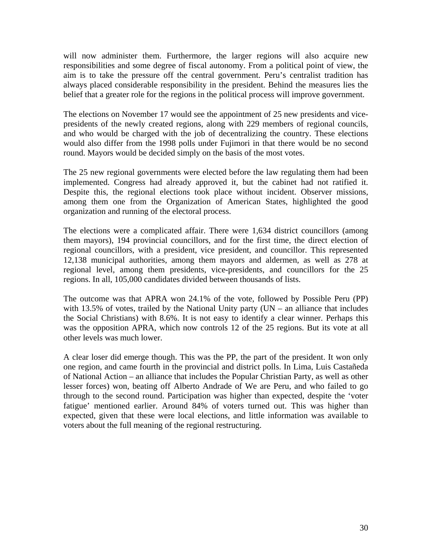will now administer them. Furthermore, the larger regions will also acquire new responsibilities and some degree of fiscal autonomy. From a political point of view, the aim is to take the pressure off the central government. Peru's centralist tradition has always placed considerable responsibility in the president. Behind the measures lies the belief that a greater role for the regions in the political process will improve government.

The elections on November 17 would see the appointment of 25 new presidents and vicepresidents of the newly created regions, along with 229 members of regional councils, and who would be charged with the job of decentralizing the country. These elections would also differ from the 1998 polls under Fujimori in that there would be no second round. Mayors would be decided simply on the basis of the most votes.

The 25 new regional governments were elected before the law regulating them had been implemented. Congress had already approved it, but the cabinet had not ratified it. Despite this, the regional elections took place without incident. Observer missions, among them one from the Organization of American States, highlighted the good organization and running of the electoral process.

The elections were a complicated affair. There were 1,634 district councillors (among them mayors), 194 provincial councillors, and for the first time, the direct election of regional councillors, with a president, vice president, and councillor. This represented 12,138 municipal authorities, among them mayors and aldermen, as well as 278 at regional level, among them presidents, vice-presidents, and councillors for the 25 regions. In all, 105,000 candidates divided between thousands of lists.

The outcome was that APRA won 24.1% of the vote, followed by Possible Peru (PP) with 13.5% of votes, trailed by the National Unity party  $(UN - an$  alliance that includes the Social Christians) with 8.6%. It is not easy to identify a clear winner. Perhaps this was the opposition APRA, which now controls 12 of the 25 regions. But its vote at all other levels was much lower.

A clear loser did emerge though. This was the PP, the part of the president. It won only one region, and came fourth in the provincial and district polls. In Lima, Luis Castañeda of National Action – an alliance that includes the Popular Christian Party, as well as other lesser forces) won, beating off Alberto Andrade of We are Peru, and who failed to go through to the second round. Participation was higher than expected, despite the 'voter fatigue' mentioned earlier. Around 84% of voters turned out. This was higher than expected, given that these were local elections, and little information was available to voters about the full meaning of the regional restructuring.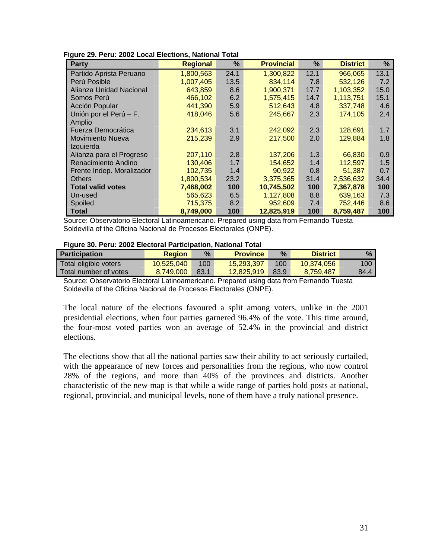| Party                     | <b>Regional</b> | %    | <b>Provincial</b> | %    | <b>District</b> | %    |
|---------------------------|-----------------|------|-------------------|------|-----------------|------|
| Partido Aprista Peruano   | 1,800,563       | 24.1 | 1,300,822         | 12.1 | 966,065         | 13.1 |
| Perú Posible              | 1,007,405       | 13.5 | 834,114           | 7.8  | 532,126         | 7.2  |
| Alianza Unidad Nacional   | 643,859         | 8.6  | 1,900,371         | 17.7 | 1,103,352       | 15.0 |
| Somos Perú                | 466.102         | 6.2  | 1,575,415         | 14.7 | 1,113,751       | 15.1 |
| Acción Popular            | 441,390         | 5.9  | 512,643           | 4.8  | 337.748         | 4.6  |
| Unión por el Perú - F.    | 418,046         | 5.6  | 245,667           | 2.3  | 174,105         | 2.4  |
| <b>Amplio</b>             |                 |      |                   |      |                 |      |
| Fuerza Democrática        | 234,613         | 3.1  | 242,092           | 2.3  | 128.691         | 1.7  |
| <b>Movimiento Nueva</b>   | 215,239         | 2.9  | 217,500           | 2.0  | 129,884         | 1.8  |
| Izguierda                 |                 |      |                   |      |                 |      |
| Alianza para el Progreso  | 207,110         | 2.8  | 137,206           | 1.3  | 66,830          | 0.9  |
| Renacimiento Andino       | 130,406         | 1.7  | 154,652           | 1.4  | 112,597         | 1.5  |
| Frente Indep. Moralizador | 102,735         | 1.4  | 90,922            | 0.8  | 51,387          | 0.7  |
| <b>Others</b>             | 1,800,534       | 23.2 | 3,375,365         | 31.4 | 2,536,632       | 34.4 |
| <b>Total valid votes</b>  | 7,468,002       | 100  | 10,745,502        | 100  | 7,367,878       | 100  |
| Un-used                   | 565,623         | 6.5  | 1,127,808         | 8.8  | 639,163         | 7.3  |
| Spoiled                   | 715,375         | 8.2  | 952,609           | 7.4  | 752.446         | 8.6  |
| <b>Total</b>              | 8,749,000       | 100  | 12,825,919        | 100  | 8,759,487       | 100  |

**Figure 29. Peru: 2002 Local Elections, National Total** 

Source: Observatorio Electoral Latinoamericano. Prepared using data from Fernando Tuesta Soldevilla of the Oficina Nacional de Procesos Electorales (ONPE).

#### **Figure 30. Peru: 2002 Electoral Participation, National Total**

| l Participation       | <b>Region</b> | $\%$ | <b>Province</b> | $\%$ | <b>District</b> | $\%$ |
|-----------------------|---------------|------|-----------------|------|-----------------|------|
| Total eligible voters | 10,525,040    | 100  | 15,293,397      | 100  | 10,374,056      | 100  |
| Total number of votes | 8.749.000     | 83.1 | 12.825.919      | 83.9 | 8.759.487       | 84.4 |

Source: Observatorio Electoral Latinoamericano. Prepared using data from Fernando Tuesta Soldevilla of the Oficina Nacional de Procesos Electorales (ONPE).

The local nature of the elections favoured a split among voters, unlike in the 2001 presidential elections, when four parties garnered 96.4% of the vote. This time around, the four-most voted parties won an average of 52.4% in the provincial and district elections.

The elections show that all the national parties saw their ability to act seriously curtailed, with the appearance of new forces and personalities from the regions, who now control 28% of the regions, and more than 40% of the provinces and districts. Another characteristic of the new map is that while a wide range of parties hold posts at national, regional, provincial, and municipal levels, none of them have a truly national presence.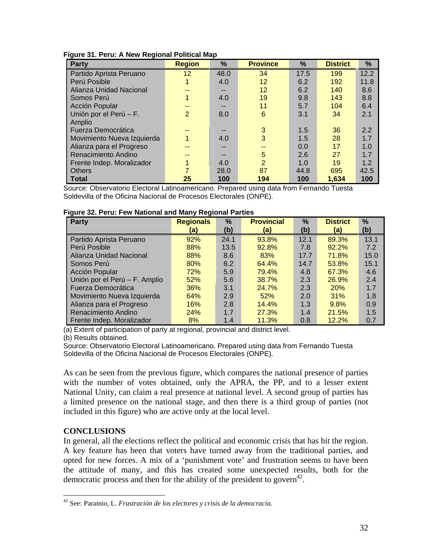| Party                      | <b>Region</b>  | $\%$ | <b>Province</b> | %    | <b>District</b> | %    |
|----------------------------|----------------|------|-----------------|------|-----------------|------|
| Partido Aprista Peruano    | 12             | 48.0 | 34              | 17.5 | 199             | 12.2 |
| Perú Posible               |                | 4.0  | 12              | 6.2  | 192             | 11.8 |
| Alianza Unidad Nacional    |                | --   | 12              | 6.2  | 140             | 8.6  |
| Somos Perú                 |                | 4.0  | 19              | 9.8  | 143             | 8.8  |
| Acción Popular             |                |      | 11              | 5.7  | 104             | 6.4  |
| Unión por el Perú - F.     | $\overline{2}$ | 8.0  | 6               | 3.1  | 34              | 2.1  |
| Amplio                     |                |      |                 |      |                 |      |
| Fuerza Democrática         |                |      | 3               | 1.5  | 36              | 2.2  |
| Movimiento Nueva Izquierda |                | 4.0  | 3               | 1.5  | 28              | 1.7  |
| Alianza para el Progreso   |                |      |                 | 0.0  | 17              | 1.0  |
| Renacimiento Andino        |                |      | 5               | 2.6  | 27              | 1.7  |
| Frente Indep. Moralizador  |                | 4.0  | $\overline{2}$  | 1.0  | 19              | 1.2  |
| <b>Others</b>              |                | 28.0 | 87              | 44.8 | 695             | 42.5 |
| Total                      | 25             | 100  | 194             | 100  | 1.634           | 100  |

**Figure 31. Peru: A New Regional Political Map** 

Source: Observatorio Electoral Latinoamericano. Prepared using data from Fernando Tuesta Soldevilla of the Oficina Nacional de Procesos Electorales (ONPE).

| <u>.</u><br><b>Party</b>      | <b>Regionals</b> | $\%$ | <b>Provincial</b> | %    | <b>District</b> | $\%$ |
|-------------------------------|------------------|------|-------------------|------|-----------------|------|
|                               | (a)              | (b)  | (a)               | (b)  | (a)             | (b)  |
| Partido Aprista Peruano       | 92%              | 24.1 | 93.8%             | 12.1 | 89.3%           | 13.1 |
| Perú Posible                  | 88%              | 13.5 | 92.8%             | 7.8  | 92.2%           | 7.2  |
| Alianza Unidad Nacional       | 88%              | 8.6  | 83%               | 17.7 | 71.8%           | 15.0 |
| Somos Perú                    | 80%              | 6.2  | 64.4%             | 14.7 | 53.8%           | 15.1 |
| Acción Popular                | 72%              | 5.9  | 79.4%             | 4.8  | 67.3%           | 4.6  |
| Unión por el Perú - F. Amplio | 52%              | 5.6  | 38.7%             | 2.3  | 26.9%           | 2.4  |
| Fuerza Democrática            | 36%              | 3.1  | 24.7%             | 2.3  | 20%             | 1.7  |
| Movimiento Nueva Izquierda    | 64%              | 2.9  | 52%               | 2.0  | 31%             | 1.8  |
| Alianza para el Progreso      | 16%              | 2.8  | 14.4%             | 1.3  | 9.8%            | 0.9  |
| Renacimiento Andino           | 24%              | 1.7  | 27.3%             | 1.4  | 21.5%           | 1.5  |
| Frente Indep. Moralizador     | 8%               | 1.4  | 11.3%             | 0.8  | 12.2%           | 0.7  |

(a) Extent of participation of party at regional, provincial and district level.

(b) Results obtained.

Source: Observatorio Electoral Latinoamericano. Prepared using data from Fernando Tuesta Soldevilla of the Oficina Nacional de Procesos Electorales (ONPE).

As can be seen from the previous figure, which compares the national presence of parties with the number of votes obtained, only the APRA, the PP, and to a lesser extent National Unity, can claim a real presence at national level. A second group of parties has a limited presence on the national stage, and then there is a third group of parties (not included in this figure) who are active only at the local level.

# **CONCLUSIONS**

In general, all the elections reflect the political and economic crisis that has hit the region. A key feature has been that voters have turned away from the traditional parties, and opted for new forces. A mix of a 'punishment vote' and frustration seems to have been the attitude of many, and this has created some unexpected results, both for the democratic process and then for the ability of the president to govern<sup>42</sup>.

 $\overline{a}$ 42 See: Paramio, L. *Frustración de los electores y crisis de la democracía.*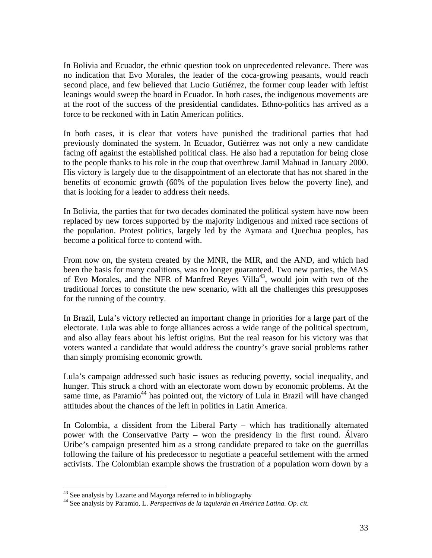In Bolivia and Ecuador, the ethnic question took on unprecedented relevance. There was no indication that Evo Morales, the leader of the coca-growing peasants, would reach second place, and few believed that Lucio Gutiérrez, the former coup leader with leftist leanings would sweep the board in Ecuador. In both cases, the indigenous movements are at the root of the success of the presidential candidates. Ethno-politics has arrived as a force to be reckoned with in Latin American politics.

In both cases, it is clear that voters have punished the traditional parties that had previously dominated the system. In Ecuador, Gutiérrez was not only a new candidate facing off against the established political class. He also had a reputation for being close to the people thanks to his role in the coup that overthrew Jamil Mahuad in January 2000. His victory is largely due to the disappointment of an electorate that has not shared in the benefits of economic growth (60% of the population lives below the poverty line), and that is looking for a leader to address their needs.

In Bolivia, the parties that for two decades dominated the political system have now been replaced by new forces supported by the majority indigenous and mixed race sections of the population. Protest politics, largely led by the Aymara and Quechua peoples, has become a political force to contend with.

From now on, the system created by the MNR, the MIR, and the AND, and which had been the basis for many coalitions, was no longer guaranteed. Two new parties, the MAS of Evo Morales, and the NFR of Manfred Reyes Villa<sup>43</sup>, would join with two of the traditional forces to constitute the new scenario, with all the challenges this presupposes for the running of the country.

In Brazil, Lula's victory reflected an important change in priorities for a large part of the electorate. Lula was able to forge alliances across a wide range of the political spectrum, and also allay fears about his leftist origins. But the real reason for his victory was that voters wanted a candidate that would address the country's grave social problems rather than simply promising economic growth.

Lula's campaign addressed such basic issues as reducing poverty, social inequality, and hunger. This struck a chord with an electorate worn down by economic problems. At the same time, as Paramio<sup>44</sup> has pointed out, the victory of Lula in Brazil will have changed attitudes about the chances of the left in politics in Latin America.

In Colombia, a dissident from the Liberal Party – which has traditionally alternated power with the Conservative Party – won the presidency in the first round. Álvaro Uribe's campaign presented him as a strong candidate prepared to take on the guerrillas following the failure of his predecessor to negotiate a peaceful settlement with the armed activists. The Colombian example shows the frustration of a population worn down by a

<sup>&</sup>lt;sup>43</sup> See analysis by Lazarte and Mayorga referred to in bibliography

<sup>&</sup>lt;sup>44</sup> See analysis by Paramio, L. *Perspectivas de la izquierda en América Latina. Op. cit.*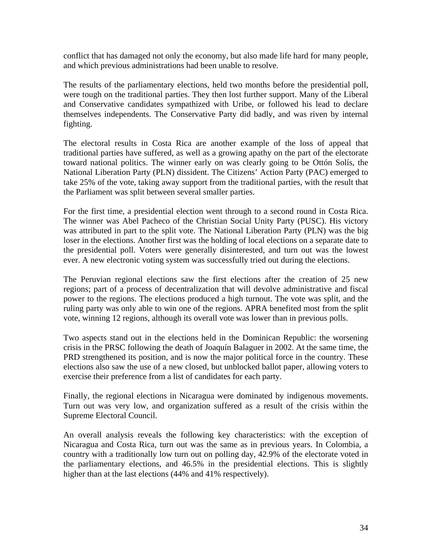conflict that has damaged not only the economy, but also made life hard for many people, and which previous administrations had been unable to resolve.

The results of the parliamentary elections, held two months before the presidential poll, were tough on the traditional parties. They then lost further support. Many of the Liberal and Conservative candidates sympathized with Uribe, or followed his lead to declare themselves independents. The Conservative Party did badly, and was riven by internal fighting.

The electoral results in Costa Rica are another example of the loss of appeal that traditional parties have suffered, as well as a growing apathy on the part of the electorate toward national politics. The winner early on was clearly going to be Ottón Solís, the National Liberation Party (PLN) dissident. The Citizens' Action Party (PAC) emerged to take 25% of the vote, taking away support from the traditional parties, with the result that the Parliament was split between several smaller parties.

For the first time, a presidential election went through to a second round in Costa Rica. The winner was Abel Pacheco of the Christian Social Unity Party (PUSC). His victory was attributed in part to the split vote. The National Liberation Party (PLN) was the big loser in the elections. Another first was the holding of local elections on a separate date to the presidential poll. Voters were generally disinterested, and turn out was the lowest ever. A new electronic voting system was successfully tried out during the elections.

The Peruvian regional elections saw the first elections after the creation of 25 new regions; part of a process of decentralization that will devolve administrative and fiscal power to the regions. The elections produced a high turnout. The vote was split, and the ruling party was only able to win one of the regions. APRA benefited most from the split vote, winning 12 regions, although its overall vote was lower than in previous polls.

Two aspects stand out in the elections held in the Dominican Republic: the worsening crisis in the PRSC following the death of Joaquín Balaguer in 2002. At the same time, the PRD strengthened its position, and is now the major political force in the country. These elections also saw the use of a new closed, but unblocked ballot paper, allowing voters to exercise their preference from a list of candidates for each party.

Finally, the regional elections in Nicaragua were dominated by indigenous movements. Turn out was very low, and organization suffered as a result of the crisis within the Supreme Electoral Council.

An overall analysis reveals the following key characteristics: with the exception of Nicaragua and Costa Rica, turn out was the same as in previous years. In Colombia, a country with a traditionally low turn out on polling day, 42.9% of the electorate voted in the parliamentary elections, and 46.5% in the presidential elections. This is slightly higher than at the last elections (44% and 41% respectively).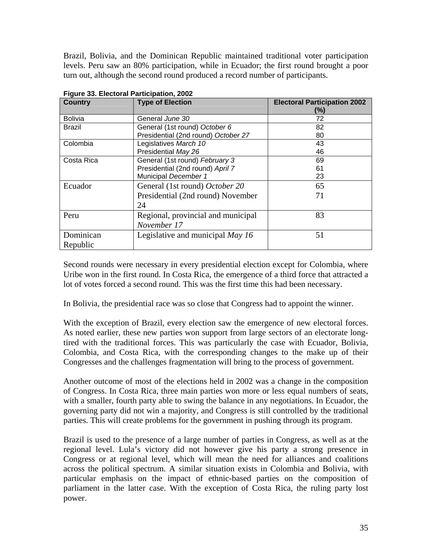Brazil, Bolivia, and the Dominican Republic maintained traditional voter participation levels. Peru saw an 80% participation, while in Ecuador; the first round brought a poor turn out, although the second round produced a record number of participants.

| <b>Country</b> | <b>Type of Election</b>             | <b>Electoral Participation 2002</b><br>(%) |
|----------------|-------------------------------------|--------------------------------------------|
| <b>Bolivia</b> | General June 30                     | 72                                         |
| Brazil         | General (1st round) October 6       | 82                                         |
|                | Presidential (2nd round) October 27 | 80                                         |
| Colombia       | Legislatives March 10               | 43                                         |
|                | Presidential May 26                 | 46                                         |
| Costa Rica     | General (1st round) February 3      | 69                                         |
|                | Presidential (2nd round) April 7    | 61                                         |
|                | Municipal December 1                | 23                                         |
| Ecuador        | General (1st round) October 20      | 65                                         |
|                | Presidential (2nd round) November   | 71                                         |
|                | 24                                  |                                            |
| Peru           | Regional, provincial and municipal  | 83                                         |
|                | November 17                         |                                            |
| Dominican      | Legislative and municipal May 16    | 51                                         |
| Republic       |                                     |                                            |

**Figure 33. Electoral Participation, 2002** 

Second rounds were necessary in every presidential election except for Colombia, where Uribe won in the first round. In Costa Rica, the emergence of a third force that attracted a lot of votes forced a second round. This was the first time this had been necessary.

In Bolivia, the presidential race was so close that Congress had to appoint the winner.

With the exception of Brazil, every election saw the emergence of new electoral forces. As noted earlier, these new parties won support from large sectors of an electorate longtired with the traditional forces. This was particularly the case with Ecuador, Bolivia, Colombia, and Costa Rica, with the corresponding changes to the make up of their Congresses and the challenges fragmentation will bring to the process of government.

Another outcome of most of the elections held in 2002 was a change in the composition of Congress. In Costa Rica, three main parties won more or less equal numbers of seats, with a smaller, fourth party able to swing the balance in any negotiations. In Ecuador, the governing party did not win a majority, and Congress is still controlled by the traditional parties. This will create problems for the government in pushing through its program.

Brazil is used to the presence of a large number of parties in Congress, as well as at the regional level. Lula's victory did not however give his party a strong presence in Congress or at regional level, which will mean the need for alliances and coalitions across the political spectrum. A similar situation exists in Colombia and Bolivia, with particular emphasis on the impact of ethnic-based parties on the composition of parliament in the latter case. With the exception of Costa Rica, the ruling party lost power.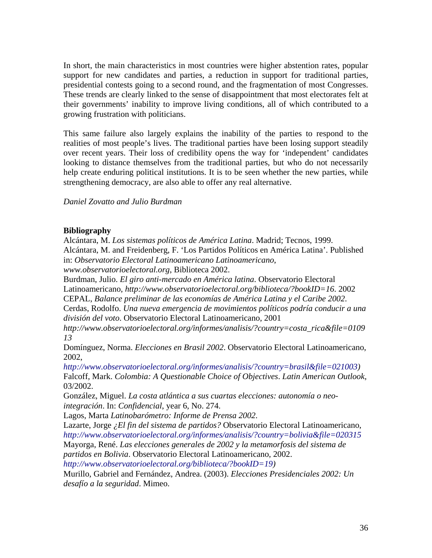In short, the main characteristics in most countries were higher abstention rates, popular support for new candidates and parties, a reduction in support for traditional parties, presidential contests going to a second round, and the fragmentation of most Congresses. These trends are clearly linked to the sense of disappointment that most electorates felt at their governments' inability to improve living conditions, all of which contributed to a growing frustration with politicians.

This same failure also largely explains the inability of the parties to respond to the realities of most people's lives. The traditional parties have been losing support steadily over recent years. Their loss of credibility opens the way for 'independent' candidates looking to distance themselves from the traditional parties, but who do not necessarily help create enduring political institutions. It is to be seen whether the new parties, while strengthening democracy, are also able to offer any real alternative.

*Daniel Zovatto and Julio Burdman*

### **Bibliography**

Alcántara, M. *Los sistemas políticos de América Latina*. Madrid; Tecnos, 1999. Alcántara, M. and Freidenberg, F. 'Los Partidos Políticos en América Latina'. Published in: *Observatorio Electoral Latinoamericano Latinoamericano*, *www.observatorioelectoral.org*, Biblioteca 2002. Burdman, Julio. *El giro anti-mercado en América latina*. Observatorio Electoral Latinoamericano, *http://www.observatorioelectoral.org/biblioteca/?bookID=16*. 2002 CEPAL, *Balance preliminar de las economías de América Latina y el Caribe 2002*. Cerdas, Rodolfo. *Una nueva emergencia de movimientos políticos podría conducir a una división del voto*. Observatorio Electoral Latinoamericano, 2001 *http://www.observatorioelectoral.org/informes/analisis/?country=costa\_rica&file=0109 13*  Domínguez, Norma. *Elecciones en Brasil 2002*. Observatorio Electoral Latinoamericano, 2002, *http://www.observatorioelectoral.org/informes/analisis/?country=brasil&file=021003)* Falcoff, Mark. *Colombia: A Questionable Choice of Objectives*. *Latin American Outlook*, 03/2002. González, Miguel. *La costa atlántica a sus cuartas elecciones: autonomía o neointegración*. In: *Confidencial*, year 6, No. 274. Lagos, Marta *Latinobarómetro: Informe de Prensa 2002*. Lazarte, Jorge *¿El fin del sistema de partidos?* Observatorio Electoral Latinoamericano, *http://www.observatorioelectoral.org/informes/analisis/?country=bolivia&file=020315* Mayorga, René. *Las elecciones generales de 2002 y la metamorfosis del sistema de partidos en Bolivia*. Observatorio Electoral Latinoamericano, 2002. *http://www.observatorioelectoral.org/biblioteca/?bookID=19)* 

Murillo, Gabriel and Fernández, Andrea. (2003). *Elecciones Presidenciales 2002: Un desafío a la seguridad*. Mimeo.